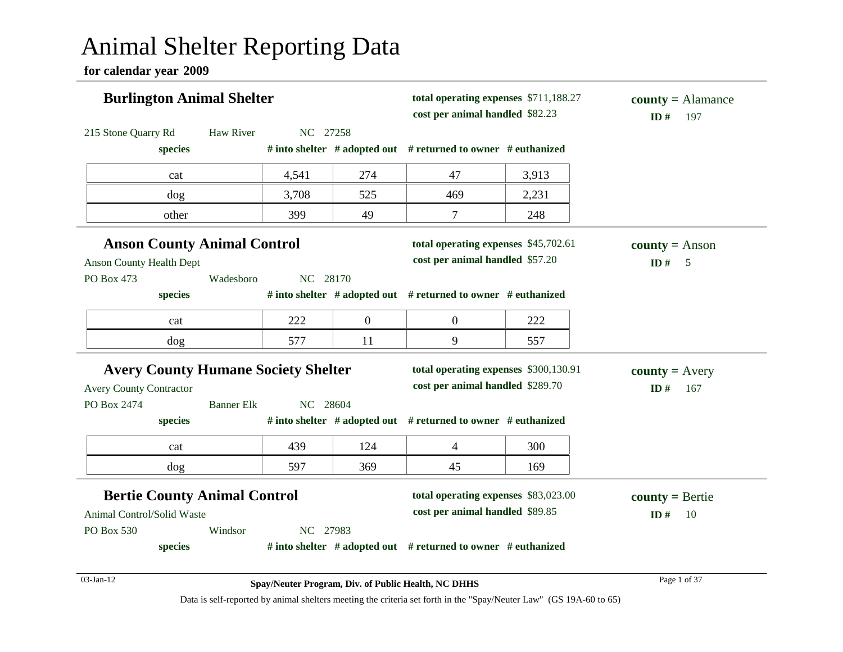# Animal Shelter Reporting Data

**for calendar year 2009**

| <b>Burlington Animal Shelter</b>           |                               | total operating expenses \$711,188.27<br>cost per animal handled \$82.23 |                                                               | $county = \text{Alamance}$<br>197<br>ID# |                        |
|--------------------------------------------|-------------------------------|--------------------------------------------------------------------------|---------------------------------------------------------------|------------------------------------------|------------------------|
| 215 Stone Quarry Rd                        | <b>Haw River</b><br>NC 27258  |                                                                          |                                                               |                                          |                        |
| species                                    |                               |                                                                          | # into shelter # adopted out # returned to owner # euthanized |                                          |                        |
| cat                                        | 4,541                         | 274                                                                      | 47                                                            | 3,913                                    |                        |
| dog                                        | 3,708                         | 525                                                                      | 469                                                           | 2,231                                    |                        |
| other                                      | 399                           | 49                                                                       | 7                                                             | 248                                      |                        |
| <b>Anson County Animal Control</b>         |                               |                                                                          | total operating expenses \$45,702.61                          |                                          | <b>county</b> = Anson  |
| <b>Anson County Health Dept</b>            |                               |                                                                          | cost per animal handled \$57.20                               |                                          | ID#<br>$5\overline{)}$ |
| PO Box 473                                 | Wadesboro<br>NC 28170         |                                                                          |                                                               |                                          |                        |
| species                                    |                               |                                                                          | # into shelter # adopted out # returned to owner # euthanized |                                          |                        |
| cat                                        | 222                           | $\boldsymbol{0}$                                                         | $\overline{0}$                                                | 222                                      |                        |
| dog                                        | 577                           | 11                                                                       | 9                                                             | 557                                      |                        |
| <b>Avery County Humane Society Shelter</b> |                               |                                                                          | total operating expenses \$300,130.91                         |                                          | $county = Avery$       |
| <b>Avery County Contractor</b>             |                               |                                                                          | cost per animal handled \$289.70                              |                                          | ID#<br>167             |
| PO Box 2474                                | <b>Banner Elk</b><br>NC 28604 |                                                                          |                                                               |                                          |                        |
| species                                    |                               |                                                                          | # into shelter # adopted out # returned to owner # euthanized |                                          |                        |
| cat                                        | 439                           | 124                                                                      | $\overline{\mathcal{L}}$                                      | 300                                      |                        |
| dog                                        | 597                           | 369                                                                      | 45                                                            | 169                                      |                        |
| <b>Bertie County Animal Control</b>        |                               |                                                                          | total operating expenses \$83,023.00                          |                                          | $county = Bertie$      |
| Animal Control/Solid Waste                 |                               |                                                                          | cost per animal handled \$89.85                               |                                          | ID#<br>10              |
| PO Box 530<br>Windsor                      | NC 27983                      |                                                                          |                                                               |                                          |                        |
| species                                    |                               |                                                                          | # into shelter # adopted out # returned to owner # euthanized |                                          |                        |
| 03-Jan-12                                  |                               |                                                                          | Spay/Neuter Program, Div. of Public Health, NC DHHS           |                                          | Page 1 of 37           |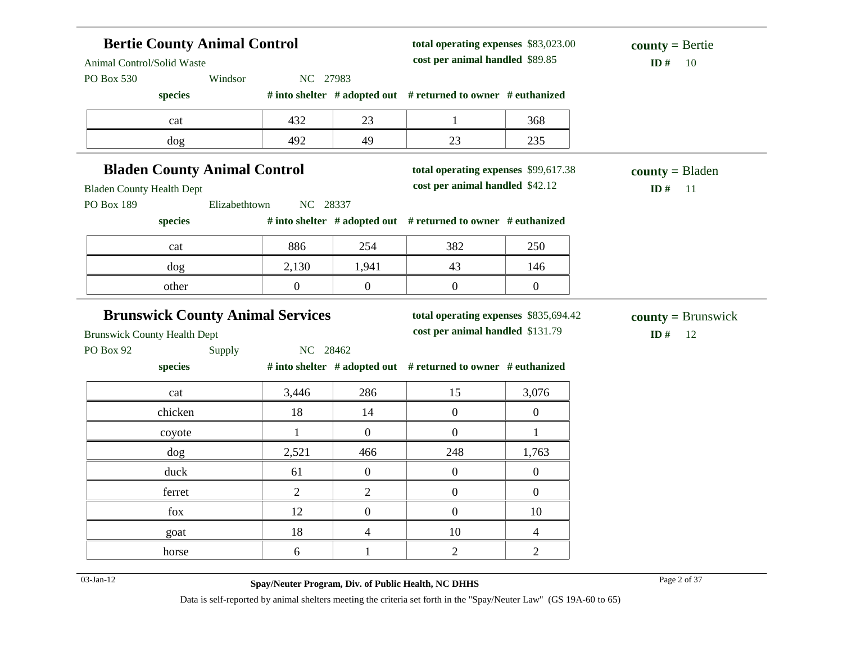| <b>Bertie County Animal Control</b><br>Animal Control/Solid Waste |                           |                  | total operating expenses \$83,023.00<br>cost per animal handled \$89.85 | $county = Bertie$<br>ID#<br>-10 |                         |
|-------------------------------------------------------------------|---------------------------|------------------|-------------------------------------------------------------------------|---------------------------------|-------------------------|
| PO Box 530<br>Windsor                                             | NC 27983                  |                  |                                                                         |                                 |                         |
| species                                                           |                           |                  | # into shelter # adopted out # returned to owner # euthanized           |                                 |                         |
| cat                                                               | 432                       | 23               |                                                                         | 368                             |                         |
| dog                                                               | 492                       | 49               | 23                                                                      | 235                             |                         |
| <b>Bladen County Animal Control</b>                               |                           |                  | total operating expenses \$99,617.38                                    |                                 | $county = B$ laden      |
| <b>Bladen County Health Dept</b>                                  |                           |                  | cost per animal handled \$42.12                                         |                                 | ID#<br>$-11$            |
| PO Box 189                                                        | Elizabethtown<br>NC 28337 |                  |                                                                         |                                 |                         |
| species                                                           |                           |                  | # into shelter # adopted out # returned to owner # euthanized           |                                 |                         |
| cat                                                               | 886                       | 254              | 382                                                                     | 250                             |                         |
| dog                                                               | 2,130                     | 1,941            | 43                                                                      | 146                             |                         |
| other                                                             | $\boldsymbol{0}$          | $\boldsymbol{0}$ | $\boldsymbol{0}$                                                        | $\boldsymbol{0}$                |                         |
|                                                                   |                           |                  |                                                                         |                                 |                         |
|                                                                   |                           |                  |                                                                         |                                 |                         |
| <b>Brunswick County Animal Services</b>                           |                           |                  | total operating expenses \$835,694.42                                   |                                 | $county = Brunswick$    |
| <b>Brunswick County Health Dept</b>                               |                           |                  | cost per animal handled \$131.79                                        |                                 | ID $#$<br><sup>12</sup> |
| PO Box 92<br>Supply<br>species                                    | NC 28462                  |                  | # into shelter # adopted out # returned to owner # euthanized           |                                 |                         |
| cat                                                               | 3,446                     | 286              | 15                                                                      | 3,076                           |                         |
| chicken                                                           | 18                        | 14               | $\mathbf{0}$                                                            | $\boldsymbol{0}$                |                         |
| coyote                                                            | 1                         | $\overline{0}$   | $\boldsymbol{0}$                                                        | $\mathbf{1}$                    |                         |
| dog                                                               | 2,521                     | 466              | 248                                                                     | 1,763                           |                         |
| duck                                                              | 61                        | $\overline{0}$   | $\boldsymbol{0}$                                                        | $\mathbf{0}$                    |                         |
| ferret                                                            | 2                         | $\overline{2}$   | $\boldsymbol{0}$                                                        | $\overline{0}$                  |                         |
| fox                                                               | 12                        | $\overline{0}$   | $\theta$                                                                | 10                              |                         |
| goat                                                              | 18                        | $\overline{4}$   | 10                                                                      | 4                               |                         |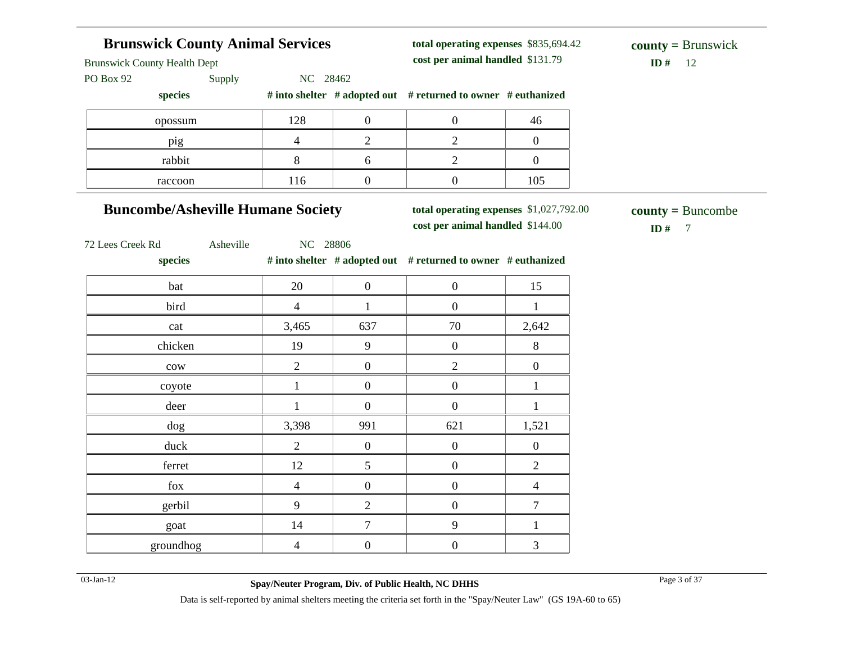# **Brunswick County Animal Services** Brunswick County Health Dept PO Box 92 Supply NC 28462 **species # into shelter # adopted out # returned to owner # euthanized total operating expenses** \$835,694.42 **cost per animal handled**  $ID# 12.$ **county =** Brunswick opossum 128 0 0 0 46 pig 1 4 2 2 0 rabbit 1 8 6 2 0 raccoon 116 0 0 105 **Buncombe/Asheville Humane Society** 72 Lees Creek Rd Asheville NC 28806 **species # into shelter # adopted out # returned to owner # euthanized total operating expenses** \$1,027,792.00 **cost per animal handled**  $ID# 7$ **county =** Buncombe bat 15 bird 4 1 0 1 cat 2,642 and 3,465 637 70 70 2,642 chicken 19 9 0 8  $\text{row}$  2 0 2 0 coyote  $1 \t 0 \t 0 \t 1$ deer 1 1 0 0 1 1 dog 3,398 991 621 1,521 duck 2 0 0 0 0 ferret 12  $\begin{array}{|c|c|c|c|c|} \hline 12 & 5 & 0 & 2 \ \hline \end{array}$ fox  $4 \t 0 \t 0 \t 0 \t 4$ gerbil 9 2 0 7 goat 14 7 9 1 groundhog  $4 \t 0 \t 0 \t 3$ 03-Jan-12 Page 3 of 37 **Spay/Neuter Program, Div. of Public Health, NC DHHS**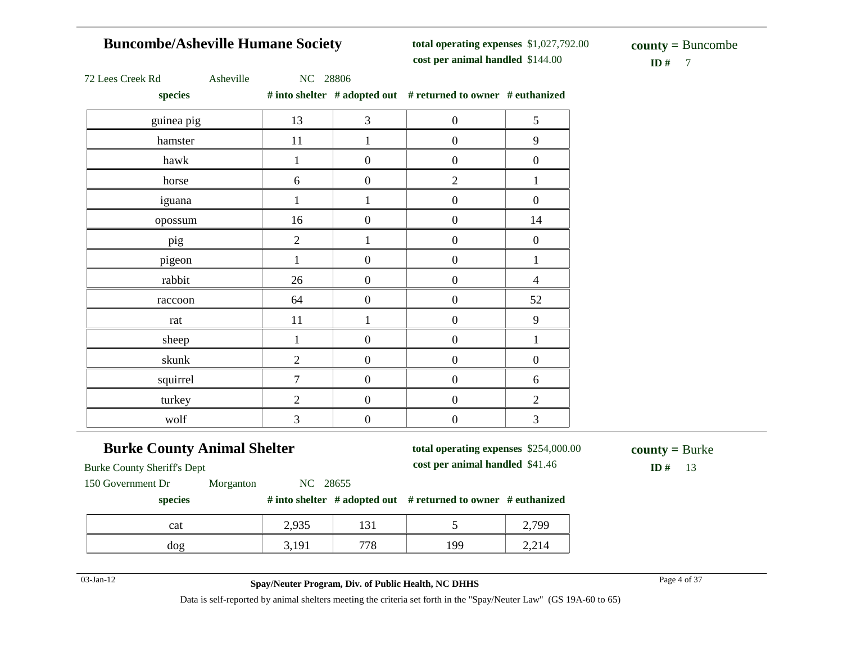# **Buncombe/Asheville Humane Society**

**total operating expenses** \$1,027,792.00 **cost per animal handled**

 $\mathbf{ID} \# \quad 7$ **county =** Buncombe

| 72 Lees Creek Rd |  |
|------------------|--|
|------------------|--|

Asheville NC 28806

**species # into shelter # adopted out # returned to owner # euthanized**

| species    |                |                  | $\pi$ into shence $\pi$ adopted out $\pi$ retained to owner $\pi$ equiding $\pi$ |                  |
|------------|----------------|------------------|----------------------------------------------------------------------------------|------------------|
| guinea pig | 13             | $\mathfrak{Z}$   | $\boldsymbol{0}$                                                                 | $\mathfrak s$    |
| hamster    | 11             | $\mathbf{1}$     | $\boldsymbol{0}$                                                                 | 9                |
| hawk       | 1              | $\boldsymbol{0}$ | $\boldsymbol{0}$                                                                 | $\boldsymbol{0}$ |
| horse      | 6              | $\boldsymbol{0}$ | $\mathbf{2}$                                                                     | $\mathbf{1}$     |
| iguana     | $\mathbf{1}$   | $\mathbf{1}$     | $\boldsymbol{0}$                                                                 | $\boldsymbol{0}$ |
| opossum    | 16             | $\boldsymbol{0}$ | $\boldsymbol{0}$                                                                 | 14               |
| pig        | $\overline{2}$ | 1                | $\boldsymbol{0}$                                                                 | $\boldsymbol{0}$ |
| pigeon     | 1              | $\boldsymbol{0}$ | $\boldsymbol{0}$                                                                 | $\mathbf{1}$     |
| rabbit     | 26             | $\boldsymbol{0}$ | $\boldsymbol{0}$                                                                 | $\overline{4}$   |
| raccoon    | 64             | $\boldsymbol{0}$ | $\boldsymbol{0}$                                                                 | 52               |
| rat        | 11             | $\mathbf{1}$     | $\boldsymbol{0}$                                                                 | 9                |
| sheep      | 1              | $\boldsymbol{0}$ | $\boldsymbol{0}$                                                                 | $\mathbf{1}$     |
| skunk      | $\overline{2}$ | $\boldsymbol{0}$ | $\boldsymbol{0}$                                                                 | $\boldsymbol{0}$ |
| squirrel   | $\overline{7}$ | $\boldsymbol{0}$ | $\overline{0}$                                                                   | 6                |
| turkey     | $\overline{2}$ | $\boldsymbol{0}$ | $\boldsymbol{0}$                                                                 | $\overline{2}$   |
| wolf       | 3              | $\boldsymbol{0}$ | $\boldsymbol{0}$                                                                 | $\mathfrak{Z}$   |

# **Burke County Animal Shelter**

**total operating expenses** \$254,000.00 **cost per animal handled**

 $ID# 13$ **county =** Burke

Burke County Sheriff's Dept

150 Government Dr Morganton NC 28655

#### **species # into shelter # adopted out # returned to owner # euthanized**

| cat | 0.025<br>ر ر د     | 1 J 1      |           | 700<br>-- |
|-----|--------------------|------------|-----------|-----------|
| dog | $1Q_1$<br>J, 1 J 1 | 770<br>ە י | ۱۵۵<br>., | 2,214     |

### 03-Jan-12 Page 4 of 37 **Spay/Neuter Program, Div. of Public Health, NC DHHS**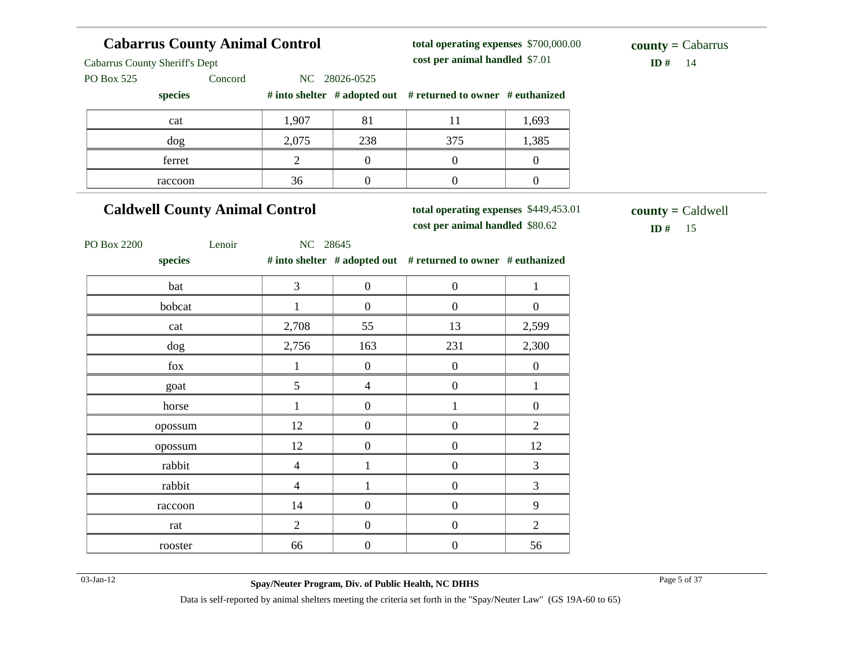| <b>Cabarrus County Animal Control</b> |                |                  | total operating expenses \$700,000.00                                    |                  | $county = Cabarrus$              |
|---------------------------------------|----------------|------------------|--------------------------------------------------------------------------|------------------|----------------------------------|
| <b>Cabarrus County Sheriff's Dept</b> |                |                  | cost per animal handled \$7.01                                           |                  | ID#<br>14                        |
| Concord<br>PO Box 525                 |                | NC 28026-0525    |                                                                          |                  |                                  |
| species                               |                |                  | # into shelter # adopted out # returned to owner # euthanized            |                  |                                  |
| cat                                   | 1,907          | 81               | 11                                                                       | 1,693            |                                  |
| dog                                   | 2,075          | 238              | 375                                                                      | 1,385            |                                  |
| ferret                                | $\overline{2}$ | $\boldsymbol{0}$ | $\overline{0}$                                                           | $\boldsymbol{0}$ |                                  |
| raccoon                               | 36             | $\boldsymbol{0}$ | $\boldsymbol{0}$                                                         | $\boldsymbol{0}$ |                                  |
| <b>Caldwell County Animal Control</b> |                |                  | total operating expenses \$449,453.01<br>cost per animal handled \$80.62 |                  | $county =$ Caldwell<br>ID # $15$ |
| PO Box 2200<br>Lenoir<br>species      | NC 28645       |                  | # into shelter # adopted out # returned to owner # euthanized            |                  |                                  |
| bat                                   | 3              | $\boldsymbol{0}$ | $\boldsymbol{0}$                                                         | $\mathbf{1}$     |                                  |
| bobcat                                | $\mathbf{1}$   | $\boldsymbol{0}$ | $\overline{0}$                                                           | $\overline{0}$   |                                  |
| cat                                   | 2,708          | 55               | 13                                                                       | 2,599            |                                  |
| dog                                   | 2,756          | 163              | 231                                                                      | 2,300            |                                  |
| fox                                   | $\mathbf 1$    | $\boldsymbol{0}$ | $\boldsymbol{0}$                                                         | $\boldsymbol{0}$ |                                  |
| goat                                  | 5              | $\overline{4}$   | $\boldsymbol{0}$                                                         | $\mathbf{1}$     |                                  |
| horse                                 | $\mathbf{1}$   | $\boldsymbol{0}$ | $\mathbf{1}$                                                             | $\boldsymbol{0}$ |                                  |
| opossum                               | 12             | $\boldsymbol{0}$ | $\boldsymbol{0}$                                                         | $\overline{2}$   |                                  |
| opossum                               | 12             | $\boldsymbol{0}$ | $\boldsymbol{0}$                                                         | 12               |                                  |
| rabbit                                | $\overline{4}$ | $\mathbf{1}$     | $\boldsymbol{0}$                                                         | 3                |                                  |
| rabbit                                | $\overline{4}$ | $\mathbf{1}$     | $\boldsymbol{0}$                                                         | 3                |                                  |
| raccoon                               | 14             | $\boldsymbol{0}$ | $\boldsymbol{0}$                                                         | 9                |                                  |
| rat                                   | $\overline{c}$ | $\boldsymbol{0}$ | $\boldsymbol{0}$                                                         | $\mathbf{2}$     |                                  |
| rooster                               | 66             | $\boldsymbol{0}$ | $\boldsymbol{0}$                                                         | 56               |                                  |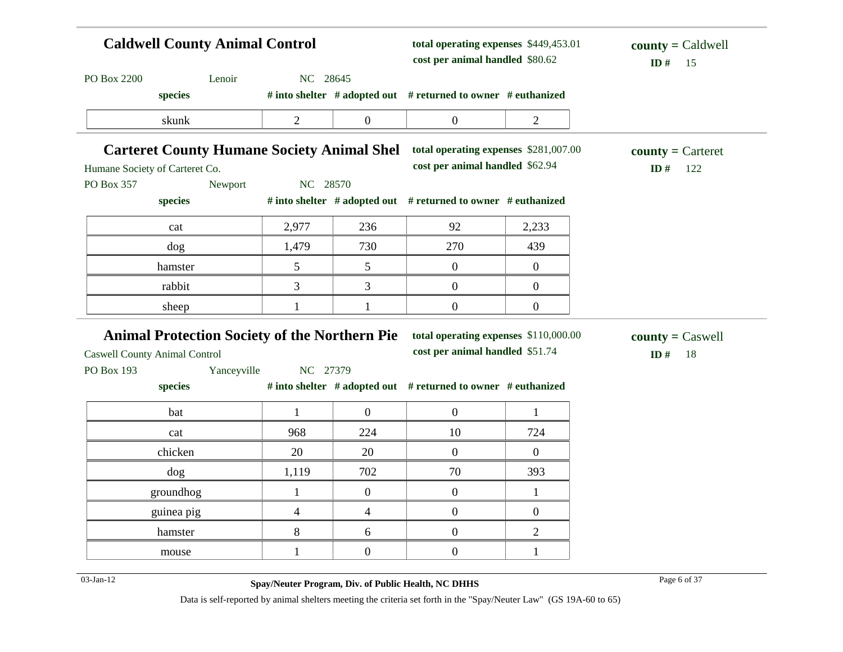| <b>Caldwell County Animal Control</b>                                               |                     |                          | total operating expenses \$449,453.01<br>cost per animal handled \$80.62 |                     | $county =$ Caldwell<br>ID#<br>15  |  |
|-------------------------------------------------------------------------------------|---------------------|--------------------------|--------------------------------------------------------------------------|---------------------|-----------------------------------|--|
| PO Box 2200<br>Lenoir<br>species                                                    | NC 28645            |                          | # into shelter # adopted out # returned to owner # euthanized            |                     |                                   |  |
| skunk                                                                               | 2                   | $\boldsymbol{0}$         | $\boldsymbol{0}$                                                         | $\overline{2}$      |                                   |  |
| <b>Carteret County Humane Society Animal Shel</b><br>Humane Society of Carteret Co. |                     |                          | total operating expenses \$281,007.00<br>cost per animal handled \$62.94 |                     | $county =$ Carteret<br>ID#<br>122 |  |
| PO Box 357<br>Newport<br>species                                                    | NC 28570            |                          | # into shelter # adopted out # returned to owner # euthanized            |                     |                                   |  |
| cat                                                                                 | 2,977               | 236                      | 92                                                                       | 2,233               |                                   |  |
| dog                                                                                 | 1,479               | 730                      | 270                                                                      | 439                 |                                   |  |
| hamster                                                                             | 5                   | 5                        | $\boldsymbol{0}$                                                         | $\boldsymbol{0}$    |                                   |  |
| rabbit                                                                              | 3                   | 3                        | $\boldsymbol{0}$                                                         | $\boldsymbol{0}$    |                                   |  |
| sheep                                                                               |                     | 1                        | $\boldsymbol{0}$                                                         | $\boldsymbol{0}$    |                                   |  |
|                                                                                     |                     |                          |                                                                          |                     |                                   |  |
| <b>Animal Protection Society of the Northern Pie</b>                                |                     |                          | total operating expenses \$110,000.00<br>cost per animal handled \$51.74 |                     | $county = Caswell$<br>ID#<br>18   |  |
| Yanceyville                                                                         | NC 27379            |                          |                                                                          |                     |                                   |  |
| species                                                                             |                     |                          | # into shelter # adopted out # returned to owner # euthanized            |                     |                                   |  |
| bat<br>cat                                                                          | $\mathbf{1}$<br>968 | $\overline{0}$<br>224    | $\boldsymbol{0}$<br>10                                                   | $\mathbf{1}$<br>724 |                                   |  |
| chicken                                                                             | 20                  | 20                       | $\mathbf{0}$                                                             | $\boldsymbol{0}$    |                                   |  |
| dog                                                                                 | 1,119               | 702                      | 70                                                                       | 393                 |                                   |  |
| groundhog                                                                           | $\mathbf{1}$        | $\boldsymbol{0}$         | $\boldsymbol{0}$                                                         | $\mathbf{1}$        |                                   |  |
| guinea pig                                                                          | $\overline{4}$      | $\overline{\mathcal{L}}$ | $\boldsymbol{0}$                                                         | $\boldsymbol{0}$    |                                   |  |
| <b>Caswell County Animal Control</b><br>PO Box 193<br>hamster                       | 8                   | 6                        | $\boldsymbol{0}$                                                         | $\overline{2}$      |                                   |  |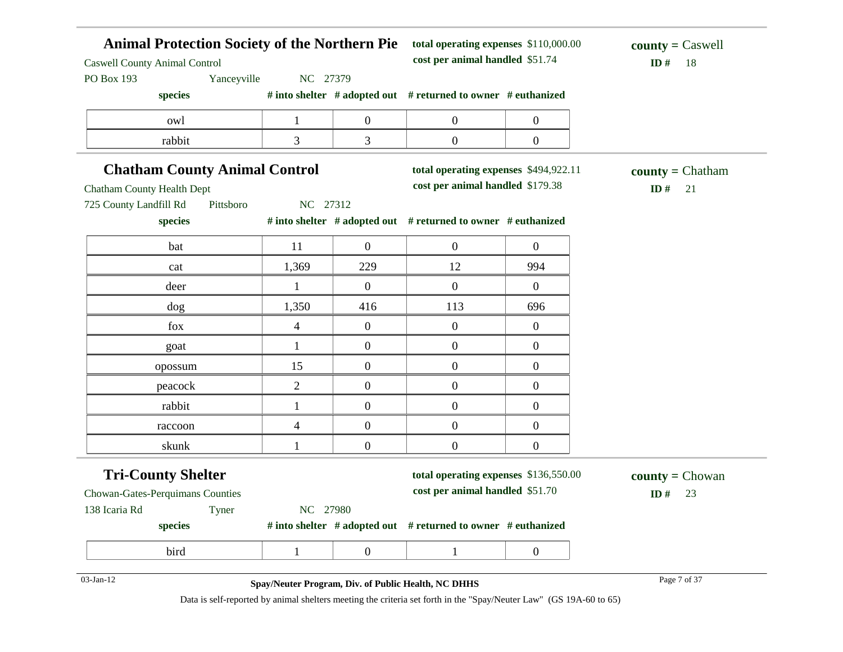| <b>Caswell County Animal Control</b> | <b>Animal Protection Society of the Northern Pie</b> |                  |                                                               | total operating expenses \$110,000.00<br>cost per animal handled \$51.74 |                                  |  |
|--------------------------------------|------------------------------------------------------|------------------|---------------------------------------------------------------|--------------------------------------------------------------------------|----------------------------------|--|
| Yanceyville<br>PO Box 193            | NC 27379                                             |                  |                                                               |                                                                          | ID#<br>18                        |  |
| species                              |                                                      |                  | # into shelter # adopted out # returned to owner # euthanized |                                                                          |                                  |  |
| owl                                  | $\mathbf 1$                                          | $\boldsymbol{0}$ | $\boldsymbol{0}$                                              | $\boldsymbol{0}$                                                         |                                  |  |
| rabbit                               | 3                                                    | 3                | $\boldsymbol{0}$                                              | $\boldsymbol{0}$                                                         |                                  |  |
| <b>Chatham County Animal Control</b> |                                                      |                  | total operating expenses \$494,922.11                         |                                                                          | $\text{county} = \text{Chatham}$ |  |
| <b>Chatham County Health Dept</b>    |                                                      |                  | cost per animal handled \$179.38                              |                                                                          | ID#<br>21                        |  |
| 725 County Landfill Rd<br>Pittsboro  | NC 27312                                             |                  |                                                               |                                                                          |                                  |  |
| species                              |                                                      |                  | # into shelter # adopted out # returned to owner # euthanized |                                                                          |                                  |  |
| bat                                  | 11                                                   | $\overline{0}$   | $\boldsymbol{0}$                                              | $\overline{0}$                                                           |                                  |  |
| cat                                  | 1,369                                                | 229              | 12                                                            | 994                                                                      |                                  |  |
| deer                                 | $\mathbf{1}$                                         | $\boldsymbol{0}$ | $\overline{0}$                                                | $\overline{0}$                                                           |                                  |  |
| dog                                  | 1,350                                                | 416              | 113                                                           | 696                                                                      |                                  |  |
| fox                                  | 4                                                    | $\boldsymbol{0}$ | $\boldsymbol{0}$                                              | $\overline{0}$                                                           |                                  |  |
| goat                                 | $\mathbf{1}$                                         | $\overline{0}$   | $\boldsymbol{0}$                                              | $\overline{0}$                                                           |                                  |  |
| opossum                              | 15                                                   | $\boldsymbol{0}$ | $\boldsymbol{0}$                                              | $\boldsymbol{0}$                                                         |                                  |  |
| peacock                              | $\overline{2}$                                       | $\overline{0}$   | $\boldsymbol{0}$                                              | $\overline{0}$                                                           |                                  |  |
| rabbit                               | $\mathbf{1}$                                         | $\boldsymbol{0}$ | $\overline{0}$                                                | $\boldsymbol{0}$                                                         |                                  |  |
| raccoon                              | $\overline{\mathcal{L}}$                             | $\boldsymbol{0}$ | $\boldsymbol{0}$                                              | $\boldsymbol{0}$                                                         |                                  |  |
| skunk                                | 1                                                    | $\overline{0}$   | $\overline{0}$                                                | $\overline{0}$                                                           |                                  |  |
| <b>Tri-County Shelter</b>            |                                                      |                  | total operating expenses \$136,550.00                         |                                                                          | $county = Chowan$                |  |
| Chowan-Gates-Perquimans Counties     |                                                      |                  | cost per animal handled \$51.70                               |                                                                          | 23<br>ID#                        |  |
| 138 Icaria Rd<br>Tyner               | NC 27980                                             |                  |                                                               |                                                                          |                                  |  |
| species                              |                                                      |                  | # into shelter # adopted out # returned to owner # euthanized |                                                                          |                                  |  |
| bird                                 | $\mathbf{1}$                                         | $\boldsymbol{0}$ | $\mathbf{1}$                                                  | $\boldsymbol{0}$                                                         |                                  |  |
| 03-Jan-12                            | Spay/Neuter Program, Div. of Public Health, NC DHHS  |                  |                                                               |                                                                          | Page 7 of 37                     |  |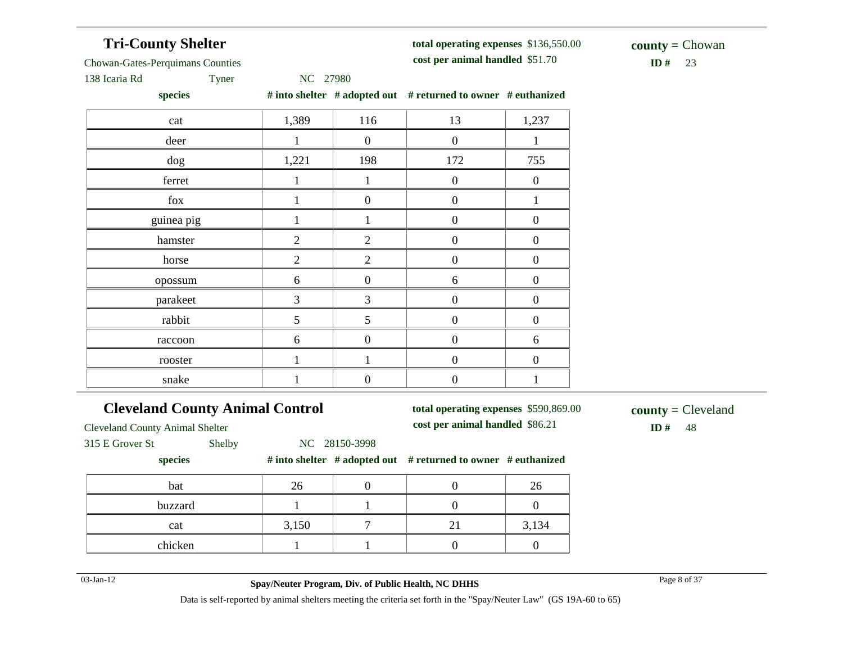# **Tri-County Shelter**

#### **total operating expenses** \$136,550.00

**cost per animal handled**

 $ID#$  23 **county =** Chowan

Chowan-Gates-Perquimans Counties

138 Icaria Rd Tyner NC 27980

**species # into shelter # adopted out # returned to owner # euthanized**

| cat        | 1,389          | 116              | 13               | 1,237            |
|------------|----------------|------------------|------------------|------------------|
| deer       | 1              | $\boldsymbol{0}$ | $\boldsymbol{0}$ |                  |
| dog        | 1,221          | 198              | 172              | 755              |
| ferret     | 1              | 1                | $\boldsymbol{0}$ | $\boldsymbol{0}$ |
| fox        | 1              | $\boldsymbol{0}$ | $\boldsymbol{0}$ | 1                |
| guinea pig | 1              | 1                | $\boldsymbol{0}$ | $\boldsymbol{0}$ |
| hamster    | $\overline{2}$ | $\overline{2}$   | $\mathbf{0}$     | $\boldsymbol{0}$ |
| horse      | $\overline{2}$ | $\overline{2}$   | $\boldsymbol{0}$ | $\boldsymbol{0}$ |
| opossum    | 6              | $\boldsymbol{0}$ | 6                | $\boldsymbol{0}$ |
| parakeet   | $\mathfrak{Z}$ | 3                | $\boldsymbol{0}$ | $\boldsymbol{0}$ |
| rabbit     | 5              | 5                | $\mathbf{0}$     | $\boldsymbol{0}$ |
| raccoon    | 6              | $\mathbf{0}$     | $\boldsymbol{0}$ | 6                |
| rooster    |                |                  | $\boldsymbol{0}$ | $\mathbf{0}$     |
| snake      |                | $\boldsymbol{0}$ | $\boldsymbol{0}$ |                  |

# **Cleveland County Animal Control**

**total operating expenses** \$590,869.00 **cost per animal handled**

 $ID# 48$ **county =** Cleveland

Cleveland County Animal Shelter 315 E Grover St Shelby NC 28150-3998

#### **species # into shelter # adopted out # returned to owner # euthanized**

| bat     | ◠<br>Ζt |  | Ζt    |
|---------|---------|--|-------|
| buzzard |         |  |       |
| cat     | 3,150   |  | 3,134 |
| chicken |         |  |       |

03-Jan-12 Page 8 of 37 **Spay/Neuter Program, Div. of Public Health, NC DHHS**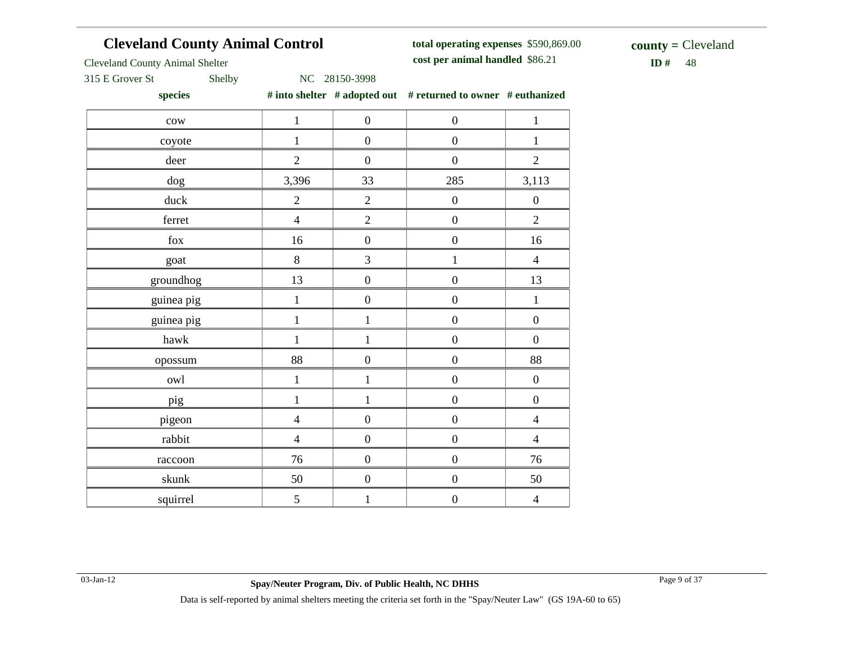# **Cleveland County Animal Control**

**total operating expenses** \$590,869.00 **cost per animal handled**

 $$ **county =** Cleveland

Cleveland County Animal Shelter

315 E Grover St Shelby NC 28150-3998

**species # into shelter # adopted out # returned to owner # euthanized**

| $_{\rm{cow}}$ | $\mathbf 1$    | $\boldsymbol{0}$ | $\boldsymbol{0}$ | $\mathbf{1}$     |
|---------------|----------------|------------------|------------------|------------------|
| coyote        | $\mathbf{1}$   | $\boldsymbol{0}$ | $\boldsymbol{0}$ | $\,1$            |
| deer          | $\overline{2}$ | $\boldsymbol{0}$ | $\boldsymbol{0}$ | $\overline{2}$   |
| $\rm{dog}$    | 3,396          | 33               | 285              | 3,113            |
| duck          | $\mathbf{2}$   | $\sqrt{2}$       | $\boldsymbol{0}$ | $\boldsymbol{0}$ |
| ferret        | $\overline{4}$ | $\overline{2}$   | $\boldsymbol{0}$ | $\overline{c}$   |
| ${\rm fox}$   | 16             | $\boldsymbol{0}$ | $\boldsymbol{0}$ | 16               |
| goat          | 8              | 3                | $\mathbf{1}$     | $\overline{4}$   |
| groundhog     | 13             | $\boldsymbol{0}$ | $\boldsymbol{0}$ | 13               |
| guinea pig    | $\,1$          | $\boldsymbol{0}$ | $\boldsymbol{0}$ | $\,1$            |
| guinea pig    | $\mathbf{1}$   | $\,1$            | $\boldsymbol{0}$ | $\boldsymbol{0}$ |
| hawk          | $\mathbf{1}$   | $\mathbf 1$      | $\boldsymbol{0}$ | $\boldsymbol{0}$ |
| opossum       | 88             | $\boldsymbol{0}$ | $\boldsymbol{0}$ | 88               |
| owl           | $\,1$          | $\mathbf 1$      | $\boldsymbol{0}$ | $\boldsymbol{0}$ |
| pig           | $\mathbf{1}$   | $\mathbf{1}$     | $\boldsymbol{0}$ | $\boldsymbol{0}$ |
| pigeon        | $\overline{4}$ | $\boldsymbol{0}$ | $\boldsymbol{0}$ | $\overline{4}$   |
| rabbit        | $\overline{4}$ | $\boldsymbol{0}$ | $\boldsymbol{0}$ | $\overline{4}$   |
| raccoon       | 76             | $\boldsymbol{0}$ | $\boldsymbol{0}$ | 76               |
| skunk         | 50             | $\boldsymbol{0}$ | $\boldsymbol{0}$ | 50               |
| squirrel      | 5              | $\,1$            | $\boldsymbol{0}$ | $\overline{4}$   |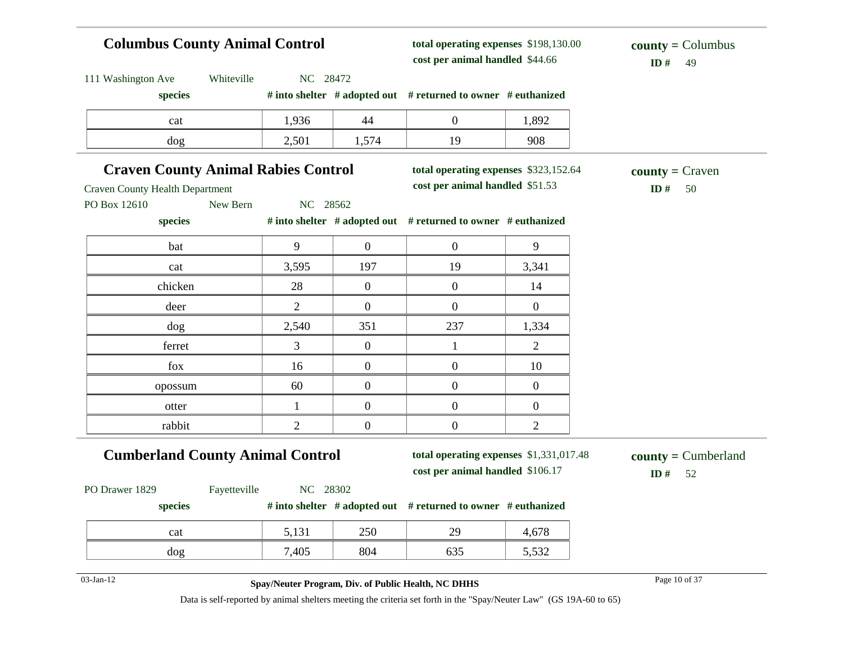# **Columbus County Animal Control**

111 Washington Ave Whiteville NC 28472

**total operating expenses** \$198,130.00 **cost per animal handled**

 $ID# 49$ **county =** Columbus

| species                                                                              |                                    |                  | # into shelter # adopted out # returned to owner # euthanized            |                |                                 |
|--------------------------------------------------------------------------------------|------------------------------------|------------------|--------------------------------------------------------------------------|----------------|---------------------------------|
| cat                                                                                  | 1,936                              | 44               | $\overline{0}$                                                           | 1,892          |                                 |
| dog                                                                                  | 2,501                              | 1,574            | 19                                                                       | 908            |                                 |
| <b>Craven County Animal Rabies Control</b><br><b>Craven County Health Department</b> |                                    |                  | total operating expenses \$323,152.64<br>cost per animal handled \$51.53 |                | $county = C$ raven<br>ID#<br>50 |
| PO Box 12610<br>species                                                              | New Bern<br>NC 28562               |                  | # into shelter # adopted out # returned to owner # euthanized            |                |                                 |
| bat                                                                                  | 9                                  | $\overline{0}$   | $\boldsymbol{0}$                                                         | 9              |                                 |
| cat                                                                                  | 3,595                              | 197              | 19                                                                       | 3,341          |                                 |
| chicken                                                                              | 28                                 | $\mathbf{0}$     | $\boldsymbol{0}$                                                         | 14             |                                 |
| deer                                                                                 | $\overline{2}$                     | $\mathbf{0}$     | $\boldsymbol{0}$                                                         | $\mathbf{0}$   |                                 |
| dog                                                                                  | 2,540                              | 351              | 237                                                                      | 1,334          |                                 |
| ferret                                                                               | 3                                  | $\mathbf{0}$     | 1                                                                        | $\overline{2}$ |                                 |
| fox                                                                                  | 16                                 | $\overline{0}$   | $\boldsymbol{0}$                                                         | 10             |                                 |
| opossum                                                                              | 60                                 | $\overline{0}$   | $\boldsymbol{0}$                                                         | $\mathbf{0}$   |                                 |
| otter                                                                                | $\mathbf{1}$                       | $\boldsymbol{0}$ | $\boldsymbol{0}$                                                         | $\mathbf{0}$   |                                 |
| rabbit                                                                               | $\mathbf{2}$                       | $\boldsymbol{0}$ | $\boldsymbol{0}$                                                         | $\overline{c}$ |                                 |
| <b>Cumberland County Animal Control</b>                                              | $county = Cumberland$<br>ID#<br>52 |                  |                                                                          |                |                                 |
| PO Drawer 1829                                                                       | Fayetteville<br>NC 28302           |                  |                                                                          |                |                                 |
| species                                                                              |                                    |                  | # into shelter # adopted out # returned to owner # euthanized            |                |                                 |
| cat                                                                                  | 5,131                              | 250              | 29                                                                       | 4,678          |                                 |
| dog                                                                                  | 7,405                              | 804              | 635                                                                      | 5,532          |                                 |

#### 03-Jan-12 Page 10 of 37 **Spay/Neuter Program, Div. of Public Health, NC DHHS**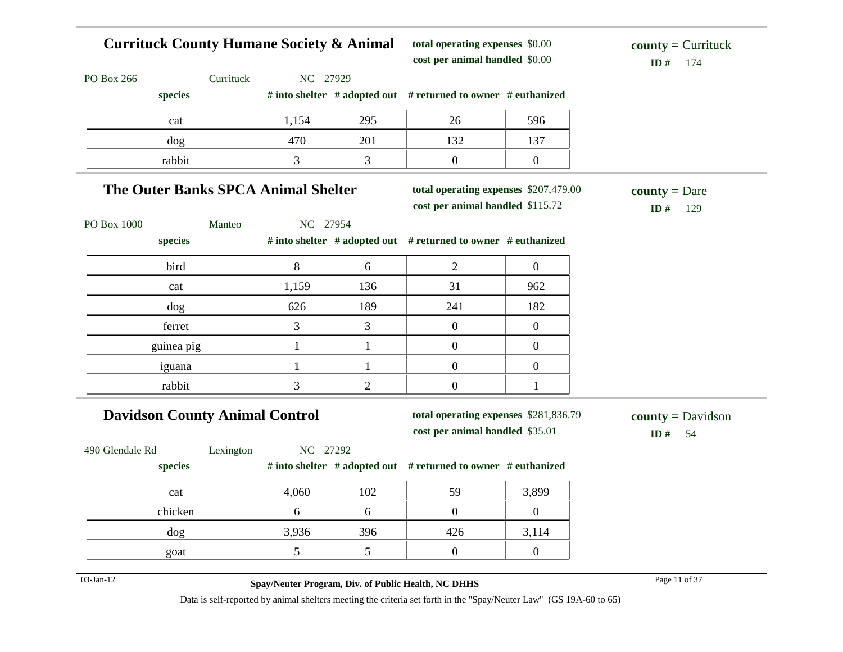#### **Currituck County Humane Society & Animal**  PO Box 266 Currituck NC 27929 **species # into shelter # adopted out # returned to owner # euthanized total operating expenses** \$0.00 **cost per animal handled**  $ID#$  174 **county =** Currituck cat 1,154 295 26 596 dog 137 | 137 | 137 rabbit 1 3 3 0 0 0 **The Outer Banks SPCA Animal Shelter** PO Box 1000 Manteo NC 27954 **species # into shelter # adopted out # returned to owner # euthanized total operating expenses** \$207,479.00 **cost per animal handled** \$115.72 **ID #** 129 **county =** Dare bird 8 6 2 0 cat 1,159 136 31 962 dog 626 189 241 182 ferret and  $\begin{array}{ccccccc} 3 & 3 & 3 & 0 & 0 \end{array}$ guinea pig  $1 \t 1 \t 1 \t 0 \t 0$ iguana 1 1 1 0 0 rabbit 1 3 2 0 1 **Davidson County Animal Control** 490 Glendale Rd Lexington NC 27292 **species # into shelter # adopted out # returned to owner # euthanized total operating expenses** \$281,836.79 **cost per animal handled ID #** 54 **county =** Davidson cat 102 59 3,899

| <b>vui</b> | $T_{\bullet}$ vvv | $\sqrt{2}$ | J I | $\cup$ , $\cup$ , $\cup$ |
|------------|-------------------|------------|-----|--------------------------|
| chicken    |                   |            |     |                          |
| dog        | 3,936             | 396        | 426 | 3,114                    |
| goat       |                   |            |     |                          |
|            |                   |            |     |                          |

03-Jan-12 Page 11 of 37 **Spay/Neuter Program, Div. of Public Health, NC DHHS**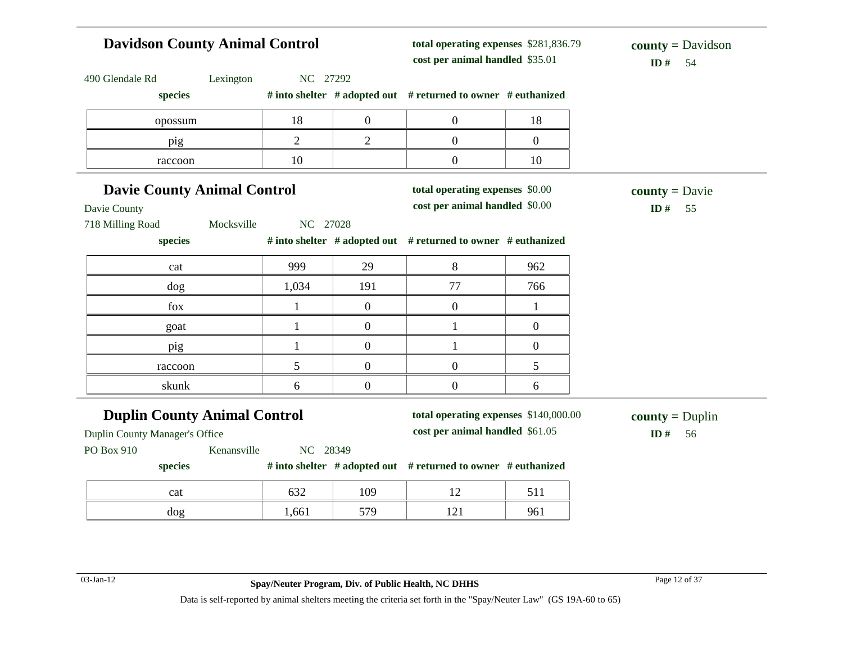# **Davidson County Animal Control** 490 Glendale Rd Lexington NC 27292 **species # into shelter # adopted out # returned to owner # euthanized total operating expenses** \$281,836.79 **cost per animal handled**  $ID# 54$ **county =** Davidson opossum 18 18 0 0 18 pig 1 2 2 0 0 raccoon  $10$  10 0 10

| <b>Davie County Animal Control</b>  |          | total operating expenses \$0.00 |                                                                     | $county = \text{David}$ |                   |
|-------------------------------------|----------|---------------------------------|---------------------------------------------------------------------|-------------------------|-------------------|
| Davie County                        |          |                                 | cost per animal handled \$0.00                                      |                         | $ID#$ 55          |
| 718 Milling Road<br>Mocksville      | NC 27028 |                                 |                                                                     |                         |                   |
| species                             |          |                                 | # into shelter $#$ adopted out $#$ returned to owner $#$ euthanized |                         |                   |
| cat                                 | 999      | 29                              | 8                                                                   | 962                     |                   |
| $\log$                              | 1,034    | 191                             | 77                                                                  | 766                     |                   |
| fox                                 |          |                                 |                                                                     |                         |                   |
| goat                                |          | $\theta$                        |                                                                     | $\overline{0}$          |                   |
| pig                                 |          |                                 |                                                                     | $\mathbf{0}$            |                   |
| raccoon                             | 5.       | $\theta$                        | $\Omega$                                                            | 5                       |                   |
| skunk                               | 6        | 0                               | $\Omega$                                                            | 6                       |                   |
| <b>Duplin County Animal Control</b> |          |                                 | total operating expenses \$140,000.00                               |                         | $county = Duplin$ |
| Duplin County Manager's Office      |          |                                 | cost per animal handled \$61.05                                     |                         | ID#<br>56         |

PO Box 910 Kenansville NC 28349

#### **species # into shelter # adopted out # returned to owner # euthanized**

| cat | $\sim$<br>∪د | 109 | -211 |
|-----|--------------|-----|------|
| dog | 1,661        | 570 | 961  |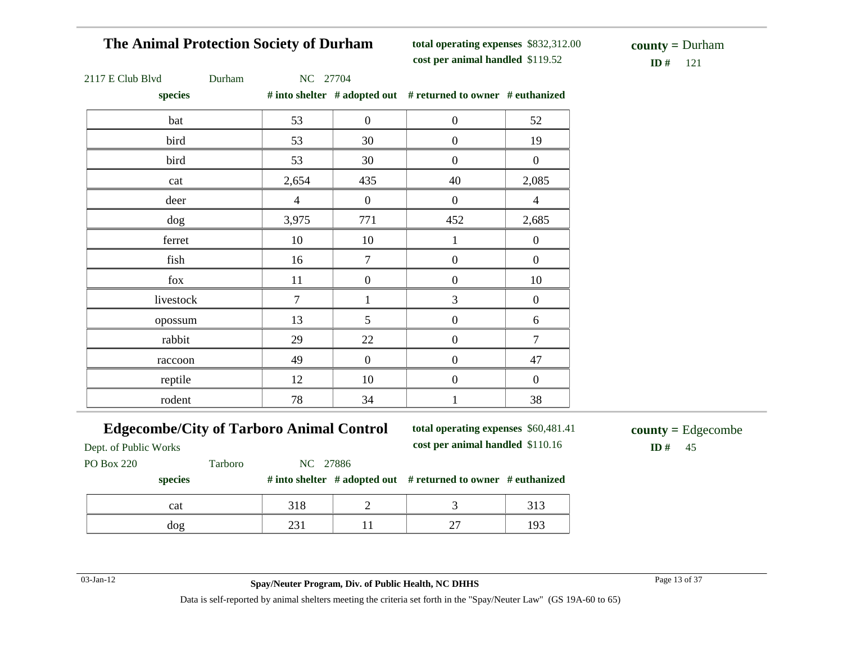# **The Animal Protection Society of Durham**

**total operating expenses** \$832,312.00 **cost per animal handled** \$119.52 **ID #** 121

**county =** Durham

|  | 2117 E Club Blyd |  |  |
|--|------------------|--|--|
|  |                  |  |  |

7 E Club Blvd Durham NC 27704

**species # into shelter # adopted out # returned to owner # euthanized**

| species   |                |                  | $\pi$ muy shown $\pi$ adopted our $\pi$ returned to owner $\pi$ cumamized |                  |
|-----------|----------------|------------------|---------------------------------------------------------------------------|------------------|
| bat       | 53             | $\overline{0}$   | $\boldsymbol{0}$                                                          | 52               |
| bird      | 53             | 30               | $\boldsymbol{0}$                                                          | 19               |
| bird      | 53             | 30               | $\boldsymbol{0}$                                                          | $\boldsymbol{0}$ |
| cat       | 2,654          | 435              | 40                                                                        | 2,085            |
| deer      | $\overline{4}$ | $\overline{0}$   | $\overline{0}$                                                            | $\overline{4}$   |
| dog       | 3,975          | 771              | 452                                                                       | 2,685            |
| ferret    | 10             | 10               | $\mathbf{1}$                                                              | $\mathbf{0}$     |
| fish      | 16             | $\tau$           | $\boldsymbol{0}$                                                          | $\boldsymbol{0}$ |
| fox       | 11             | $\boldsymbol{0}$ | $\boldsymbol{0}$                                                          | 10               |
| livestock | $\tau$         | $\mathbf{1}$     | 3                                                                         | $\boldsymbol{0}$ |
| opossum   | 13             | 5                | $\boldsymbol{0}$                                                          | $6\,$            |
| rabbit    | 29             | 22               | $\boldsymbol{0}$                                                          | $\overline{7}$   |
| raccoon   | 49             | $\boldsymbol{0}$ | $\boldsymbol{0}$                                                          | 47               |
| reptile   | 12             | 10               | $\boldsymbol{0}$                                                          | $\boldsymbol{0}$ |
| rodent    | 78             | 34               | $\mathbf{1}$                                                              | 38               |

#### **Edgecombe/City of Tarboro Animal Control**

**total operating expenses** \$60,481.41 **cost per animal handled** \$110.16 **ID #** 45

**county =** Edgecombe

Dept. of Public Works

PO Box 220 Tarboro NC 27886

**species # into shelter # adopted out # returned to owner # euthanized**

| cat            |         |   |   |  |
|----------------|---------|---|---|--|
| $d$ O $\sigma$ | ີ<br>-- | - | - |  |

03-Jan-12 Page 13 of 37 **Spay/Neuter Program, Div. of Public Health, NC DHHS**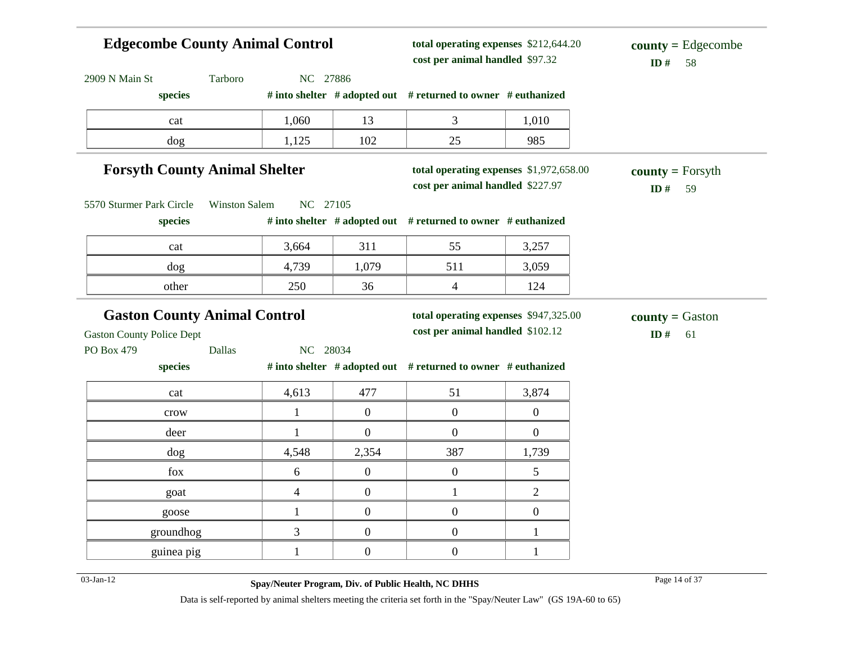# **Edgecombe County Animal Control** 2909 N Main St Tarboro NC 27886 **species # into shelter # adopted out # returned to owner # euthanized total operating expenses** \$212,644.20 **cost per animal handled** \$97.32 **ID #** 58 **county =** Edgecombe cat 1,060 13 3 1,010 dog 1,125 102 25 985 **Forsyth County Animal Shelter** 5570 Sturmer Park Circle Winston Salem NC 27105 **species # into shelter # adopted out # returned to owner # euthanized total operating expenses** \$1,972,658.00 **cost per animal handled** \$227.97 **ID #** 59 **county =** Forsyth cat 1 3,664 311 55 3,257 dog 1,739 1,079 511 3,059 other 250 36 4 124 **Gaston County Animal Control** Gaston County Police Dept PO Box 479 Dallas NC 28034 **species # into shelter # adopted out # returned to owner # euthanized total operating expenses** \$947,325.00 **cost per animal handled** \$102.12 **ID #** 61 **county =** Gaston cat 1,613 477 51 3,874 crow  $1 \t 0 \t 0 \t 0$ deer 1 0 0 0 0 dog 1,739 and 4,548 and 2,354 and 387 and 1,739 fox 6 0 0 5 goat  $4 \t 0 \t 1 \t 2$ goose  $1 \quad 0 \quad 0 \quad 0$ groundhog  $\begin{array}{cccc} 3 & 0 & 0 \\ 1 & 0 & 1 \end{array}$ guinea pig  $1 \t 1 \t 0 \t 0 \t 1$

03-Jan-12 Page 14 of 37 **Spay/Neuter Program, Div. of Public Health, NC DHHS**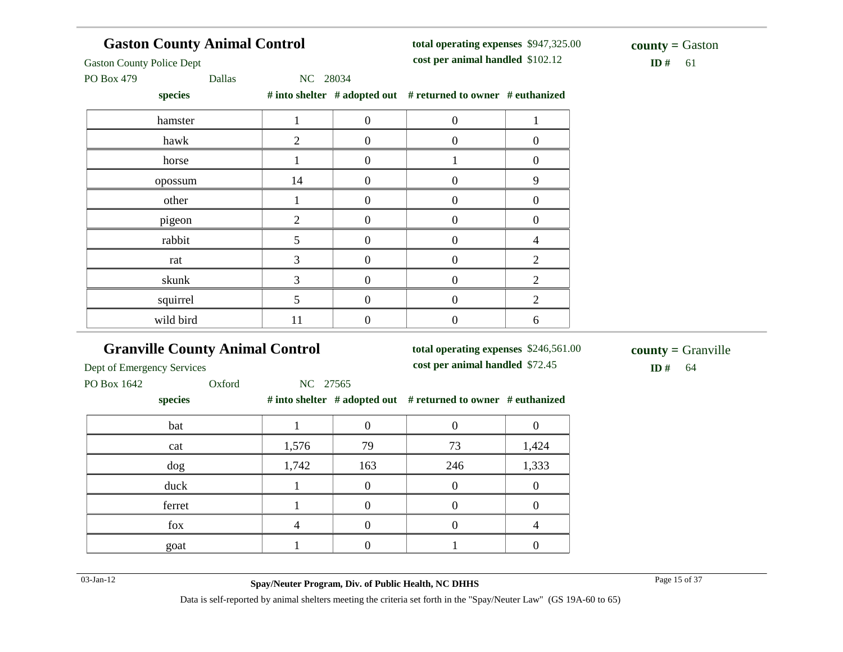| <b>Gaston County Animal Control</b> |           | total operating expenses \$947,325.00 |                  | <b>county</b> = Gaston                                        |                |           |
|-------------------------------------|-----------|---------------------------------------|------------------|---------------------------------------------------------------|----------------|-----------|
| <b>Gaston County Police Dept</b>    |           |                                       |                  | cost per animal handled \$102.12                              |                | ID#<br>61 |
| PO Box 479                          | Dallas    | NC 28034                              |                  |                                                               |                |           |
|                                     | species   |                                       |                  | # into shelter # adopted out # returned to owner # euthanized |                |           |
|                                     | hamster   |                                       | $\overline{0}$   | $\boldsymbol{0}$                                              |                |           |
|                                     | hawk      | 2                                     | $\boldsymbol{0}$ | $\boldsymbol{0}$                                              | $\overline{0}$ |           |
|                                     | horse     |                                       | $\Omega$         |                                                               | $\theta$       |           |
|                                     | opossum   | 14                                    | $\mathbf{0}$     | $\boldsymbol{0}$                                              | 9              |           |
|                                     | other     |                                       | $\mathbf{0}$     | $\theta$                                                      | $\theta$       |           |
|                                     | pigeon    | 2                                     | $\boldsymbol{0}$ | $\boldsymbol{0}$                                              | $\overline{0}$ |           |
|                                     | rabbit    | 5.                                    | $\theta$         | $\theta$                                                      | 4              |           |
|                                     | rat       | 3                                     | $\Omega$         | $\Omega$                                                      | 2              |           |
|                                     | skunk     | 3                                     | $\overline{0}$   | $\overline{0}$                                                | 2              |           |
|                                     | squirrel  | 5.                                    | $\Omega$         | $\Omega$                                                      | 2              |           |
|                                     | wild bird | 11                                    | $\overline{0}$   | $\boldsymbol{0}$                                              | 6              |           |

# **Granville County Animal Control**

**total operating expenses** \$246,561.00

**cost per animal handled** \$72.45 **ID #** 64 **county =** Granville

Dept of Emergency Services

PO Box 1642 Oxford NC 27565

#### **species # into shelter # adopted out # returned to owner # euthanized**

| bat    |       |     |     |       |
|--------|-------|-----|-----|-------|
| cat    | 1,576 | 79  | 73  | 1,424 |
| dog    | 1,742 | 163 | 246 | 1,333 |
| duck   |       |     |     |       |
| ferret |       |     |     |       |
| fox    |       |     |     |       |
| goat   |       |     |     |       |

03-Jan-12 Page 15 of 37 **Spay/Neuter Program, Div. of Public Health, NC DHHS**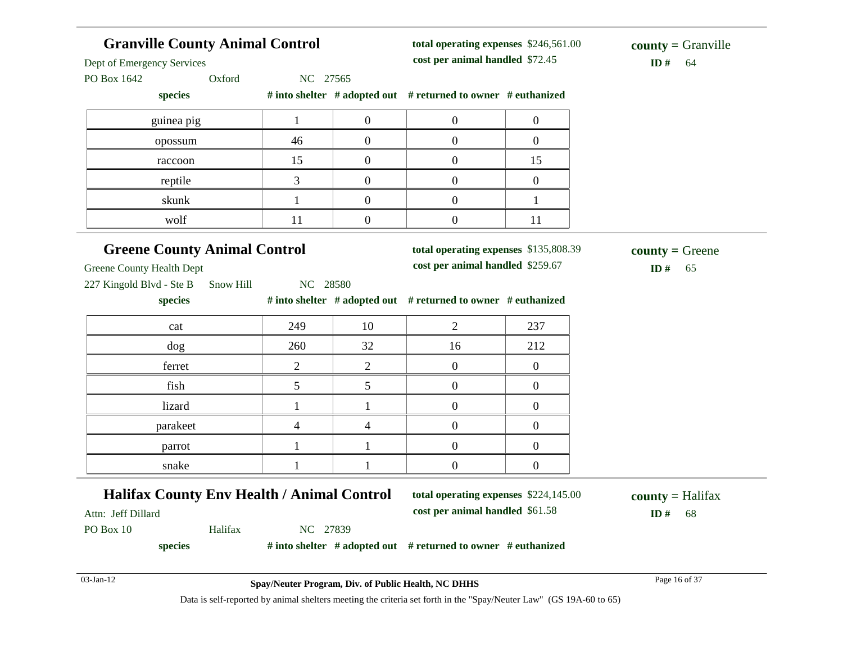|                                                     | <b>Granville County Animal Control</b> |                  |                                                               | total operating expenses \$246,561.00<br>cost per animal handled \$72.45 |                                     |  |
|-----------------------------------------------------|----------------------------------------|------------------|---------------------------------------------------------------|--------------------------------------------------------------------------|-------------------------------------|--|
| Dept of Emergency Services<br>PO Box 1642<br>Oxford | NC 27565                               |                  |                                                               |                                                                          | ID#<br>64                           |  |
| species                                             |                                        |                  | # into shelter # adopted out # returned to owner # euthanized |                                                                          |                                     |  |
| guinea pig                                          | $\mathbf{1}$                           | $\boldsymbol{0}$ | $\overline{0}$                                                | $\overline{0}$                                                           |                                     |  |
| opossum                                             | 46                                     | $\boldsymbol{0}$ | $\overline{0}$                                                | $\overline{0}$                                                           |                                     |  |
| raccoon                                             | 15                                     | $\overline{0}$   | $\overline{0}$                                                | 15                                                                       |                                     |  |
| reptile                                             | 3                                      | $\overline{0}$   | $\overline{0}$                                                | $\overline{0}$                                                           |                                     |  |
| skunk                                               | $\mathbf{1}$                           | $\overline{0}$   | $\overline{0}$                                                | $\mathbf{1}$                                                             |                                     |  |
| wolf                                                | 11                                     | $\boldsymbol{0}$ | $\overline{0}$                                                | 11                                                                       |                                     |  |
| <b>Greene County Animal Control</b>                 |                                        |                  | total operating expenses \$135,808.39                         |                                                                          | $county = Green$                    |  |
| <b>Greene County Health Dept</b>                    |                                        |                  | cost per animal handled \$259.67                              |                                                                          | ID#<br>65                           |  |
| 227 Kingold Blvd - Ste B<br>Snow Hill               | NC 28580                               |                  |                                                               |                                                                          |                                     |  |
| species                                             |                                        |                  | # into shelter # adopted out # returned to owner # euthanized |                                                                          |                                     |  |
| cat                                                 | 249                                    | 10               | $\overline{2}$                                                | 237                                                                      |                                     |  |
| dog                                                 | 260                                    | 32               | 16                                                            | 212                                                                      |                                     |  |
| ferret                                              | 2                                      | $\overline{2}$   | $\overline{0}$                                                | $\overline{0}$                                                           |                                     |  |
| fish                                                | 5                                      | 5                | $\overline{0}$                                                | $\overline{0}$                                                           |                                     |  |
| lizard                                              | 1                                      | 1                | $\overline{0}$                                                | $\overline{0}$                                                           |                                     |  |
| parakeet                                            | 4                                      | 4                | $\boldsymbol{0}$                                              | $\overline{0}$                                                           |                                     |  |
| parrot                                              | 1                                      | $\mathbf{1}$     | $\boldsymbol{0}$                                              | $\overline{0}$                                                           |                                     |  |
| snake                                               | 1                                      | 1                | $\overline{0}$                                                | $\overline{0}$                                                           |                                     |  |
| <b>Halifax County Env Health / Animal Control</b>   |                                        |                  | total operating expenses \$224,145.00                         |                                                                          |                                     |  |
| Attn: Jeff Dillard                                  |                                        |                  | cost per animal handled \$61.58                               |                                                                          | $county = \text{Halifax}$<br>ID# 68 |  |
| Halifax<br>PO Box 10                                | NC 27839                               |                  |                                                               |                                                                          |                                     |  |
|                                                     |                                        |                  | # into shelter # adopted out # returned to owner # euthanized |                                                                          |                                     |  |
| species                                             |                                        |                  |                                                               |                                                                          |                                     |  |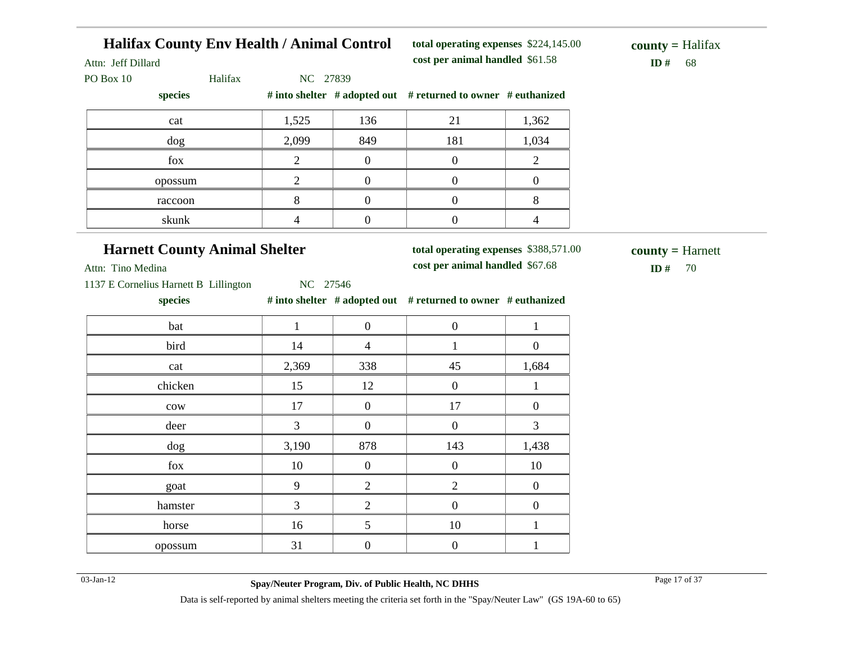| <b>Halifax County Env Health / Animal Control</b><br>Attn: Jeff Dillard |                |                  | total operating expenses \$224,145.00<br>cost per animal handled \$61.58 |                          | $county = Halifax$<br>ID $#$<br>68 |
|-------------------------------------------------------------------------|----------------|------------------|--------------------------------------------------------------------------|--------------------------|------------------------------------|
| Halifax<br>PO Box 10<br>species                                         | NC 27839       |                  | # into shelter # adopted out # returned to owner # euthanized            |                          |                                    |
| cat                                                                     | 1,525          | 136              | 21                                                                       | 1,362                    |                                    |
| dog                                                                     | 2,099          | 849              | 181                                                                      | 1,034                    |                                    |
| fox                                                                     | $\overline{2}$ | $\boldsymbol{0}$ | $\boldsymbol{0}$                                                         | $\overline{2}$           |                                    |
| opossum                                                                 | $\overline{2}$ | $\boldsymbol{0}$ | $\boldsymbol{0}$                                                         | $\boldsymbol{0}$         |                                    |
| raccoon                                                                 | 8              | $\boldsymbol{0}$ | $\boldsymbol{0}$                                                         | 8                        |                                    |
| skunk                                                                   | $\overline{4}$ | $\boldsymbol{0}$ | $\boldsymbol{0}$                                                         | $\overline{\mathcal{L}}$ |                                    |
| <b>Harnett County Animal Shelter</b><br>Attn: Tino Medina               |                |                  | total operating expenses \$388,571.00<br>cost per animal handled \$67.68 |                          | $county = Harnett$<br>ID $#$<br>70 |
| 1137 E Cornelius Harnett B Lillington<br>species                        | NC 27546       |                  | # into shelter # adopted out # returned to owner # euthanized            |                          |                                    |
| bat                                                                     | $\mathbf{1}$   | $\boldsymbol{0}$ | $\boldsymbol{0}$                                                         | $\mathbf{1}$             |                                    |
| bird                                                                    | 14             | $\overline{4}$   | $\mathbf{1}$                                                             | $\overline{0}$           |                                    |
| cat                                                                     | 2,369          | 338              | 45                                                                       | 1,684                    |                                    |
| chicken                                                                 | 15             | 12               | $\boldsymbol{0}$                                                         | $\mathbf{1}$             |                                    |
| $_{\rm{cow}}$                                                           | 17             | $\boldsymbol{0}$ | 17                                                                       | $\overline{0}$           |                                    |
| deer                                                                    | $\overline{3}$ | $\boldsymbol{0}$ | $\boldsymbol{0}$                                                         | 3                        |                                    |
| dog                                                                     | 3,190          | 878              | 143                                                                      | 1,438                    |                                    |
| fox                                                                     | 10             | $\boldsymbol{0}$ | $\overline{0}$                                                           | 10                       |                                    |
| goat                                                                    | 9              | $\mathbf{2}$     | $\mathbf{2}$                                                             | $\boldsymbol{0}$         |                                    |
| hamster                                                                 | $\overline{3}$ | $\overline{2}$   | $\boldsymbol{0}$                                                         | $\boldsymbol{0}$         |                                    |
|                                                                         |                |                  |                                                                          |                          |                                    |
| horse                                                                   | 16             | 5                | 10                                                                       | $\mathbf{1}$             |                                    |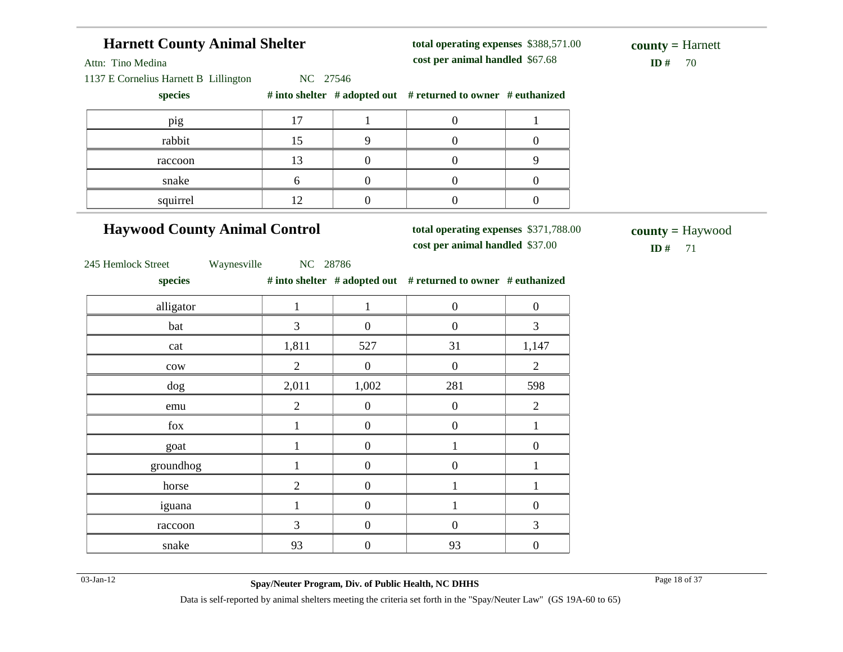| <b>Harnett County Animal Shelter</b>  |                |                  | total operating expenses \$388,571.00                                    |                  | $county = Harnett$                               |
|---------------------------------------|----------------|------------------|--------------------------------------------------------------------------|------------------|--------------------------------------------------|
| Attn: Tino Medina                     |                |                  | cost per animal handled \$67.68                                          |                  | ID#<br>70                                        |
| 1137 E Cornelius Harnett B Lillington | NC 27546       |                  |                                                                          |                  |                                                  |
| species                               |                |                  | # into shelter # adopted out # returned to owner # euthanized            |                  |                                                  |
| pig                                   | 17             | $\mathbf{1}$     | $\boldsymbol{0}$                                                         | $\mathbf{1}$     |                                                  |
| rabbit                                | 15             | 9                | $\overline{0}$                                                           | $\boldsymbol{0}$ |                                                  |
| raccoon                               | 13             | $\overline{0}$   | $\boldsymbol{0}$                                                         | 9                |                                                  |
| snake                                 | $6\,$          | $\boldsymbol{0}$ | $\boldsymbol{0}$                                                         | $\overline{0}$   |                                                  |
| squirrel                              | 12             | $\boldsymbol{0}$ | $\boldsymbol{0}$                                                         | $\boldsymbol{0}$ |                                                  |
| <b>Haywood County Animal Control</b>  |                |                  | total operating expenses \$371,788.00<br>cost per animal handled \$37.00 |                  | $\text{county} = \text{Haywood}$<br>ID $#$<br>71 |
| 245 Hemlock Street<br>Waynesville     | NC 28786       |                  |                                                                          |                  |                                                  |
| species                               |                |                  | # into shelter # adopted out # returned to owner # euthanized            |                  |                                                  |
| alligator                             | $\mathbf{1}$   | $\mathbf{1}$     | $\boldsymbol{0}$                                                         | $\boldsymbol{0}$ |                                                  |
| bat                                   | 3              | $\boldsymbol{0}$ | $\boldsymbol{0}$                                                         | 3                |                                                  |
| cat                                   | 1,811          | 527              | 31                                                                       | 1,147            |                                                  |
| cow                                   | $\overline{2}$ | $\boldsymbol{0}$ | $\overline{0}$                                                           | $\overline{2}$   |                                                  |
| dog                                   | 2,011          | 1,002            | 281                                                                      | 598              |                                                  |
| emu                                   | $\overline{2}$ | $\boldsymbol{0}$ | $\boldsymbol{0}$                                                         | $\overline{2}$   |                                                  |
| fox                                   | $\mathbf{1}$   | $\boldsymbol{0}$ | $\boldsymbol{0}$                                                         | $\mathbf{1}$     |                                                  |
| goat                                  | $\mathbf{1}$   | $\overline{0}$   | $\mathbf{1}$                                                             | $\boldsymbol{0}$ |                                                  |
| groundhog                             | $\mathbf{1}$   | $\boldsymbol{0}$ | $\boldsymbol{0}$                                                         | $\mathbf{1}$     |                                                  |
| horse                                 | $\overline{2}$ | $\boldsymbol{0}$ | $\mathbf{1}$                                                             | $\mathbf{1}$     |                                                  |
| iguana                                | $\mathbf{1}$   | $\boldsymbol{0}$ | $\mathbf{1}$                                                             | $\boldsymbol{0}$ |                                                  |
| raccoon                               | 3              | $\boldsymbol{0}$ | $\boldsymbol{0}$                                                         | 3                |                                                  |
| snake                                 | 93             | $\boldsymbol{0}$ | 93                                                                       | $\boldsymbol{0}$ |                                                  |

i.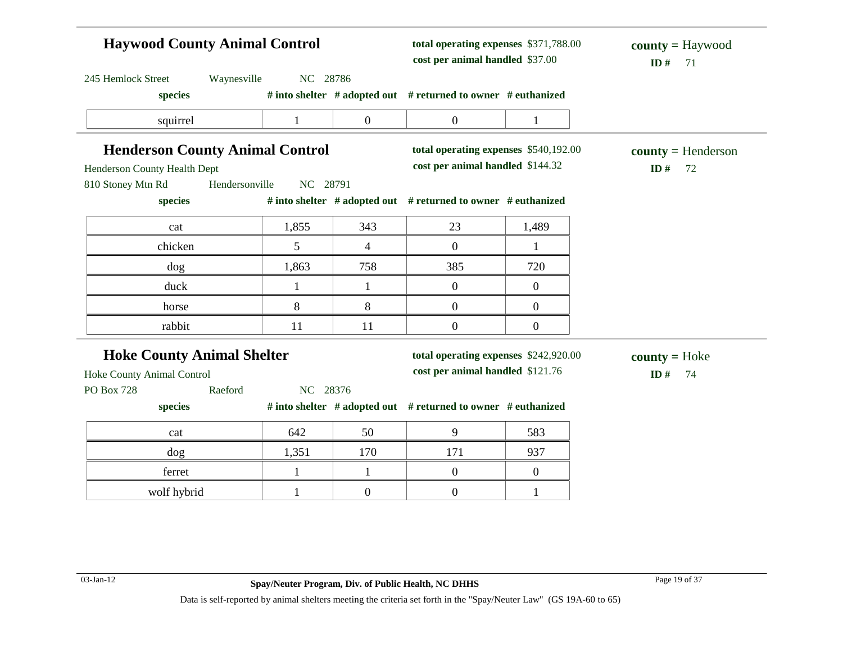| <b>Haywood County Animal Control</b>   |              |                  | total operating expenses \$371,788.00<br>cost per animal handled \$37.00 |                  | $county = Haywood$<br>ID#<br>71 |  |
|----------------------------------------|--------------|------------------|--------------------------------------------------------------------------|------------------|---------------------------------|--|
| Waynesville<br>245 Hemlock Street      | NC 28786     |                  |                                                                          |                  |                                 |  |
| species                                |              |                  | # into shelter # adopted out # returned to owner # euthanized            |                  |                                 |  |
| squirrel                               | $\mathbf{1}$ | $\boldsymbol{0}$ | $\overline{0}$                                                           | $\mathbf{1}$     |                                 |  |
| <b>Henderson County Animal Control</b> |              |                  | total operating expenses \$540,192.00                                    |                  | $county = Henderson$            |  |
| Henderson County Health Dept           |              |                  | cost per animal handled \$144.32                                         |                  | ID#<br>72                       |  |
| Hendersonville<br>810 Stoney Mtn Rd    | NC 28791     |                  |                                                                          |                  |                                 |  |
| species                                |              |                  | # into shelter # adopted out # returned to owner # euthanized            |                  |                                 |  |
| cat                                    | 1,855        | 343              | 23                                                                       | 1,489            |                                 |  |
| chicken                                | 5            | $\overline{4}$   | $\overline{0}$                                                           | $\mathbf{1}$     |                                 |  |
| dog                                    | 1,863        | 758              | 385                                                                      | 720              |                                 |  |
| duck                                   | $\mathbf{1}$ | $\mathbf{1}$     | $\overline{0}$                                                           | $\boldsymbol{0}$ |                                 |  |
| horse                                  | 8            | 8                | $\boldsymbol{0}$                                                         | $\boldsymbol{0}$ |                                 |  |
| rabbit                                 | 11           | 11               | $\boldsymbol{0}$                                                         | $\boldsymbol{0}$ |                                 |  |
| <b>Hoke County Animal Shelter</b>      |              |                  | total operating expenses \$242,920.00                                    |                  | $county = Hoke$                 |  |
| Hoke County Animal Control             |              |                  | cost per animal handled \$121.76                                         |                  | ID $#$<br>74                    |  |
| Raeford<br>PO Box 728                  | NC 28376     |                  |                                                                          |                  |                                 |  |
| species                                |              |                  | # into shelter # adopted out # returned to owner # euthanized            |                  |                                 |  |
| cat                                    | 642          | 50               | 9                                                                        | 583              |                                 |  |
| dog                                    | 1,351        | 170              | 171                                                                      | 937              |                                 |  |
| ferret                                 | $\mathbf{1}$ | $\mathbf{1}$     | $\boldsymbol{0}$                                                         | $\boldsymbol{0}$ |                                 |  |
| wolf hybrid                            | $\mathbf 1$  | $\boldsymbol{0}$ | $\overline{0}$                                                           | $\mathbf{1}$     |                                 |  |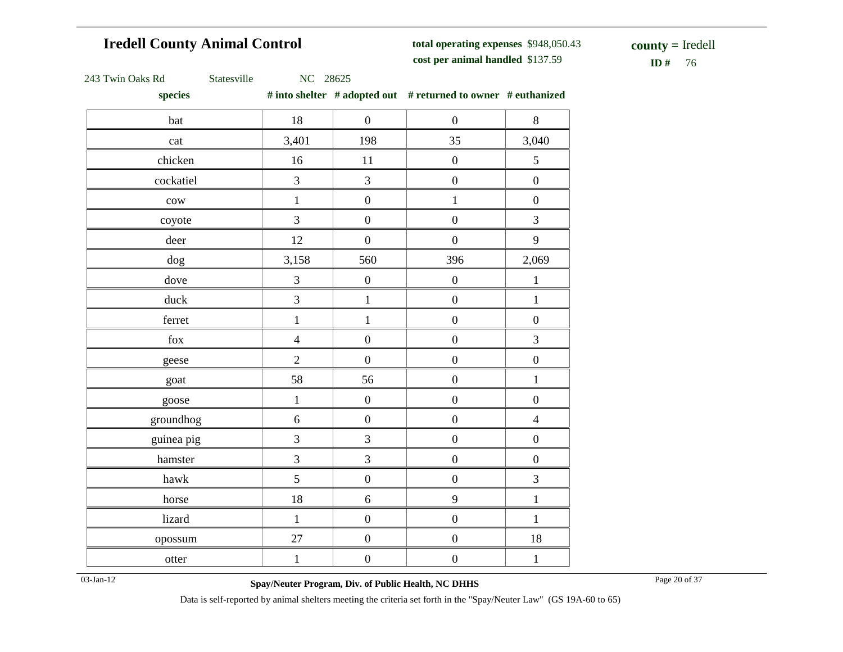# **Iredell County Animal Control**

**total operating expenses** \$948,050.43 **cost per animal handled**

 $ID# 76$ **county =** Iredell

|  | 243 Twin Oaks Rd |  |  |  |
|--|------------------|--|--|--|
|--|------------------|--|--|--|

Statesville NC 28625

**species # into shelter # adopted out # returned to owner # euthanized**

| ------                       |                |                  |                  |                  |
|------------------------------|----------------|------------------|------------------|------------------|
| bat                          | 18             | $\boldsymbol{0}$ | $\boldsymbol{0}$ | 8                |
| cat                          | 3,401          | 198              | 35               | 3,040            |
| chicken                      | $16\,$         | $11\,$           | $\boldsymbol{0}$ | 5                |
| cockatiel                    | $\overline{3}$ | $\mathfrak{Z}$   | $\boldsymbol{0}$ | $\boldsymbol{0}$ |
| $_{\text{cow}}$              | $\mathbf{1}$   | $\boldsymbol{0}$ | $\mathbf{1}$     | $\boldsymbol{0}$ |
| coyote                       | 3              | $\boldsymbol{0}$ | $\boldsymbol{0}$ | $\overline{3}$   |
| deer                         | 12             | $\boldsymbol{0}$ | $\boldsymbol{0}$ | 9                |
| $\rm{dog}$                   | 3,158          | 560              | 396              | 2,069            |
| dove                         | $\mathfrak{Z}$ | $\boldsymbol{0}$ | $\boldsymbol{0}$ | $\,1\,$          |
| duck                         | $\mathfrak{Z}$ | $\,1\,$          | $\boldsymbol{0}$ | $\,1\,$          |
| ferret                       | $\,1$          | $\,1$            | $\boldsymbol{0}$ | $\boldsymbol{0}$ |
| $\operatorname{fox}$         | $\overline{4}$ | $\boldsymbol{0}$ | $\boldsymbol{0}$ | $\overline{3}$   |
| geese                        | $\overline{2}$ | $\boldsymbol{0}$ | $\boldsymbol{0}$ | $\boldsymbol{0}$ |
| goat                         | 58             | 56               | $\boldsymbol{0}$ | $\,1\,$          |
| goose                        | $\mathbf 1$    | $\boldsymbol{0}$ | $\boldsymbol{0}$ | $\boldsymbol{0}$ |
| groundhog                    | $\sqrt{6}$     | $\boldsymbol{0}$ | $\boldsymbol{0}$ | $\overline{4}$   |
| guinea pig                   | $\overline{3}$ | 3                | $\boldsymbol{0}$ | $\boldsymbol{0}$ |
| hamster                      | $\overline{3}$ | $\overline{3}$   | $\boldsymbol{0}$ | $\boldsymbol{0}$ |
| $\mathop{\rm hawk}\nolimits$ | 5              | $\boldsymbol{0}$ | $\boldsymbol{0}$ | $\mathfrak{Z}$   |
| horse                        | $18\,$         | $\sqrt{6}$       | 9                | $\,1\,$          |
| lizard                       | $\,1\,$        | $\boldsymbol{0}$ | $\boldsymbol{0}$ | $\mathbf 1$      |
| opossum                      | $27\,$         | $\boldsymbol{0}$ | $\boldsymbol{0}$ | $18\,$           |
| otter                        | $\,1\,$        | $\boldsymbol{0}$ | $\boldsymbol{0}$ | $\,1\,$          |
|                              |                |                  |                  |                  |

03-Jan-12 Page 20 of 37 **Spay/Neuter Program, Div. of Public Health, NC DHHS**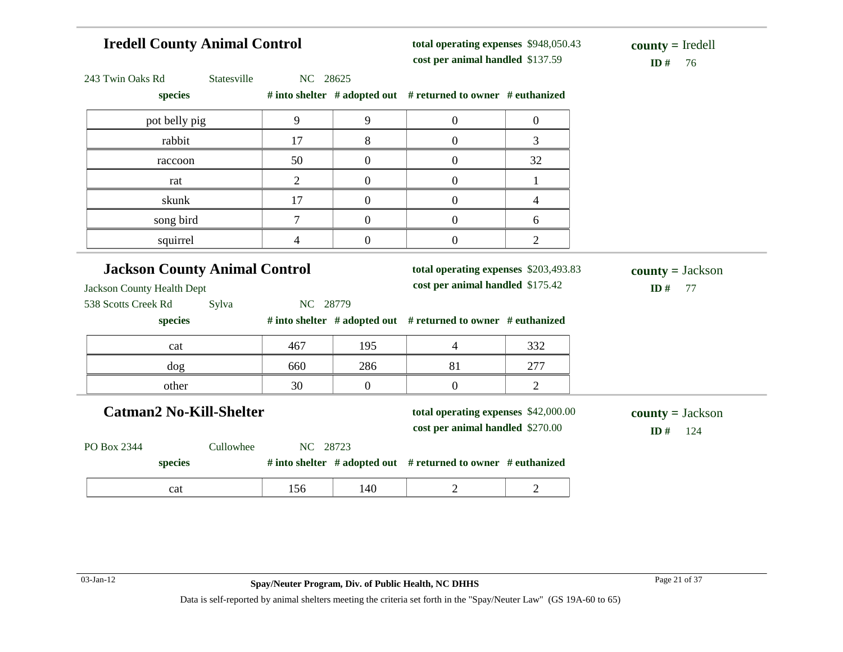# **Iredell County Animal Control**

**total operating expenses** \$948,050.43 **cost per animal handled**

 $ID# 76$ **county =** Iredell

| 243 Twin Oaks Rd<br>Statesville                                    | NC 28625       |                |                                                                           |                  |                                                  |
|--------------------------------------------------------------------|----------------|----------------|---------------------------------------------------------------------------|------------------|--------------------------------------------------|
| species                                                            |                |                | # into shelter # adopted out # returned to owner # euthanized             |                  |                                                  |
| pot belly pig                                                      | 9              | 9              | $\boldsymbol{0}$                                                          | $\boldsymbol{0}$ |                                                  |
| rabbit                                                             | 17             | 8              | $\boldsymbol{0}$                                                          | 3                |                                                  |
| raccoon                                                            | 50             | $\overline{0}$ | $\boldsymbol{0}$                                                          | 32               |                                                  |
| rat                                                                | $\overline{2}$ | $\overline{0}$ | $\boldsymbol{0}$                                                          | 1                |                                                  |
| skunk                                                              | 17             | $\overline{0}$ | $\mathbf{0}$                                                              | 4                |                                                  |
| song bird                                                          | $\overline{7}$ | $\overline{0}$ | $\mathbf{0}$                                                              | 6                |                                                  |
| squirrel                                                           | $\overline{4}$ | $\overline{0}$ | $\boldsymbol{0}$                                                          | $\overline{2}$   |                                                  |
| <b>Jackson County Animal Control</b><br>Jackson County Health Dept |                |                | total operating expenses \$203,493.83<br>cost per animal handled \$175.42 |                  | $\text{county} = \text{Jackson}$<br>ID $#$<br>77 |
| species                                                            |                |                | # into shelter # adopted out # returned to owner # euthanized             |                  |                                                  |
| cat                                                                | 467            | 195            | $\overline{4}$                                                            | 332              |                                                  |
| dog                                                                | 660            | 286            | 81                                                                        | 277              |                                                  |
| other                                                              | 30             | $\overline{0}$ | $\boldsymbol{0}$                                                          | $\overline{2}$   |                                                  |
| <b>Catman2 No-Kill-Shelter</b>                                     |                |                | total operating expenses \$42,000.00<br>cost per animal handled \$270.00  |                  | $\text{county} = \text{Jackson}$<br>ID#<br>124   |
| PO Box 2344<br>Cullowhee                                           | NC 28723       |                |                                                                           |                  |                                                  |
|                                                                    |                |                |                                                                           |                  |                                                  |
| species                                                            |                |                | # into shelter # adopted out # returned to owner # euthanized             |                  |                                                  |
| 538 Scotts Creek Rd<br>Sylva                                       | NC 28779       |                |                                                                           |                  |                                                  |

 $\sim$ 

 $\overline{\phantom{a}}$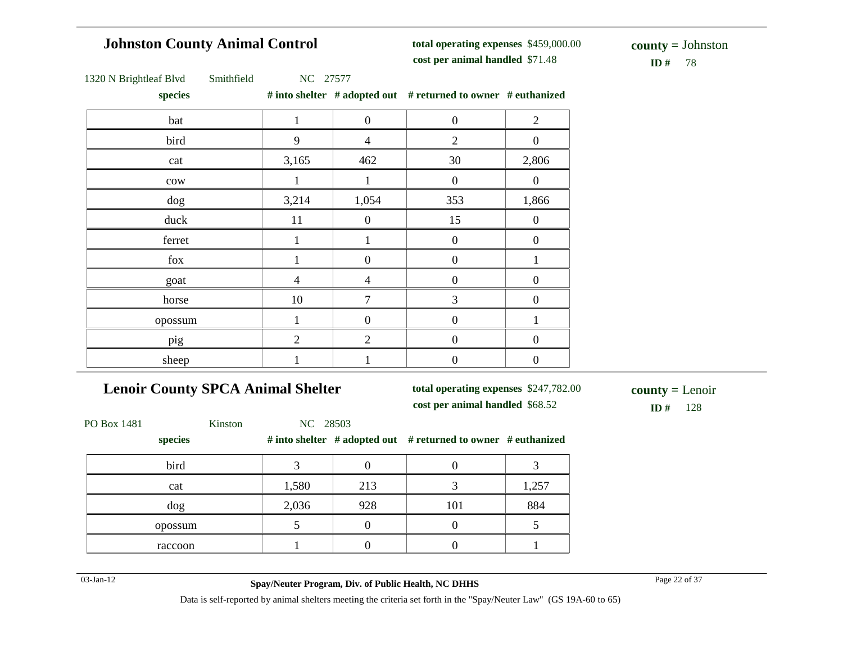# **Johnston County Animal Control**

**total operating expenses** \$459,000.00 **cost per animal handled**

**ID** # 78 **county =** Johnston

| 1320 N Brightleaf Blvd | Smithfield |  | NC 27577 |
|------------------------|------------|--|----------|
|------------------------|------------|--|----------|

**species # into shelter # adopted out # returned to owner # euthanized**

|                | $\boldsymbol{0}$ | $\boldsymbol{0}$ | $\sqrt{2}$       |
|----------------|------------------|------------------|------------------|
| 9              | $\overline{4}$   | $\sqrt{2}$       | $\boldsymbol{0}$ |
| 3,165          | 462              | 30               | 2,806            |
| 1              | $\mathbf{1}$     | $\boldsymbol{0}$ | $\mathbf{0}$     |
| 3,214          | 1,054            | 353              | 1,866            |
| 11             | $\boldsymbol{0}$ | 15               | $\boldsymbol{0}$ |
|                |                  | $\boldsymbol{0}$ | $\boldsymbol{0}$ |
|                | $\boldsymbol{0}$ | $\boldsymbol{0}$ |                  |
| $\overline{4}$ | $\overline{4}$   | $\boldsymbol{0}$ | $\boldsymbol{0}$ |
| 10             | 7                | 3                | $\Omega$         |
|                | $\boldsymbol{0}$ | $\boldsymbol{0}$ |                  |
| $\overline{2}$ | $\overline{2}$   | $\boldsymbol{0}$ | $\boldsymbol{0}$ |
|                |                  | $\boldsymbol{0}$ | $\boldsymbol{0}$ |
|                |                  |                  |                  |

# **Lenoir County SPCA Animal Shelter**

**total operating expenses** \$247,782.00

**cost per animal handled** \$68.52 **ID #** 128 **county =** Lenoir

| PO Box 1481 | Kinston | NC 28503 |     |                                                               |       |
|-------------|---------|----------|-----|---------------------------------------------------------------|-------|
| species     |         |          |     | # into shelter # adopted out # returned to owner # euthanized |       |
| bird        |         |          |     |                                                               |       |
| cat         |         | 1,580    | 213 |                                                               | 1,257 |
| dog         |         | 2,036    | 928 | 101                                                           | 884   |
| opossum     |         |          |     |                                                               |       |
| raccoon     |         |          |     |                                                               |       |

03-Jan-12 Page 22 of 37 **Spay/Neuter Program, Div. of Public Health, NC DHHS**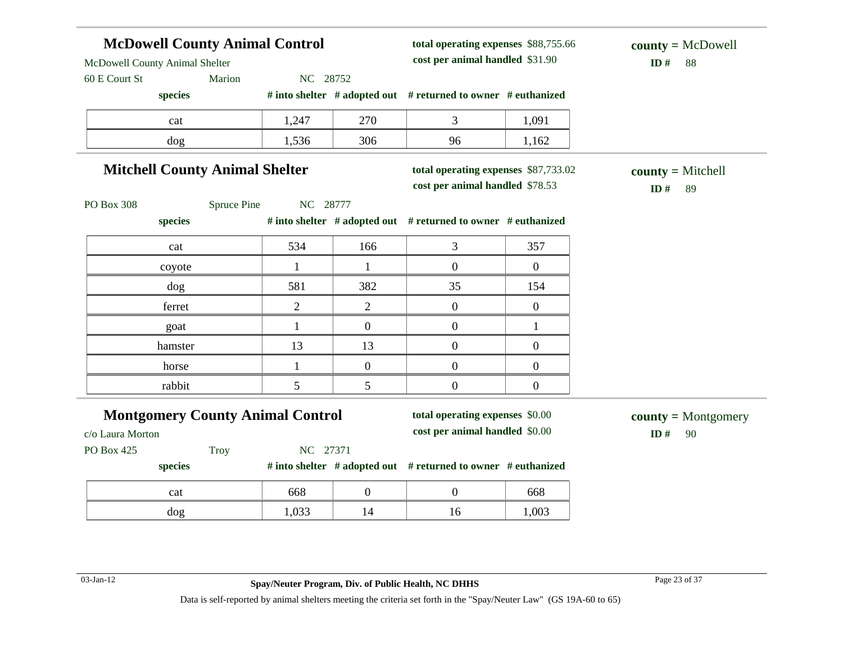# **McDowell County Animal Control**

**total operating expenses** \$88,755.66 **cost per animal handled** \$31.90 **ID #** 88

McDowell County Animal Shelter

60 E Court St Marion NC 28752

**species # into shelter # adopted out # returned to owner # euthanized**

| cat | 1,247 | 270 |    | 1,091 |
|-----|-------|-----|----|-------|
| dog | 1,536 | 306 | 96 | 1,162 |

# **Mitchell County Animal Shelter**

**total operating expenses** \$87,733.02

**cost per animal handled** \$78.53 **ID #** 89 **county =** Mitchell

PO Box 308 Spruce Pine NC 28777

**species # into shelter # adopted out # returned to owner # euthanized**

| cat     | 534 | 166 |    | 357 |
|---------|-----|-----|----|-----|
| coyote  |     |     |    |     |
| dog     | 581 | 382 | 35 | 154 |
| ferret  |     |     |    |     |
| goat    |     |     |    |     |
| hamster | 13  | 13  |    |     |
| horse   |     |     |    |     |
| rabbit  |     |     |    |     |

#### **Montgomery County Animal Control**

**total operating expenses** \$0.00 **cost per animal handled** \$0.00 **ID #** 90

**county =** Montgomery

c/o Laura Morton

PO Box 425 Troy NC 27371

#### **species # into shelter # adopted out # returned to owner # euthanized**

| cat | 668       |  | 668   |
|-----|-----------|--|-------|
| dog | 022<br>ື່ |  | 1,003 |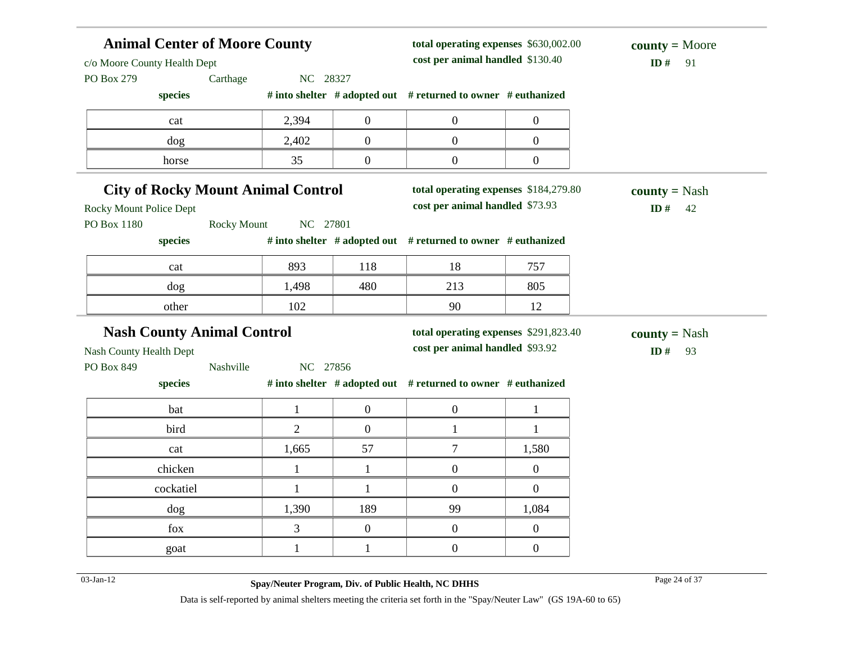| <b>Animal Center of Moore County</b><br>c/o Moore County Health Dept |                                |                  | total operating expenses \$630,002.00<br>cost per animal handled \$130.40 | $county = Moore$<br>ID#<br>91 |                      |
|----------------------------------------------------------------------|--------------------------------|------------------|---------------------------------------------------------------------------|-------------------------------|----------------------|
| PO Box 279<br>Carthage                                               | NC 28327                       |                  |                                                                           |                               |                      |
| species                                                              |                                |                  | # into shelter # adopted out # returned to owner # euthanized             |                               |                      |
| cat                                                                  | 2,394                          | $\boldsymbol{0}$ | $\boldsymbol{0}$                                                          | $\overline{0}$                |                      |
| dog                                                                  | 2,402                          | $\boldsymbol{0}$ | $\boldsymbol{0}$                                                          | $\overline{0}$                |                      |
| horse                                                                | 35                             | $\boldsymbol{0}$ | $\boldsymbol{0}$                                                          | $\overline{0}$                |                      |
| <b>City of Rocky Mount Animal Control</b>                            |                                |                  | total operating expenses \$184,279.80                                     |                               | <b>county</b> = Nash |
| <b>Rocky Mount Police Dept</b>                                       |                                |                  | cost per animal handled \$73.93                                           |                               | ID $\#$<br>42        |
| PO Box 1180                                                          | NC 27801<br><b>Rocky Mount</b> |                  |                                                                           |                               |                      |
| species                                                              |                                |                  | # into shelter # adopted out # returned to owner # euthanized             |                               |                      |
| cat                                                                  | 893                            | 118              | 18                                                                        | 757                           |                      |
| dog                                                                  | 1,498                          | 480              | 213                                                                       | 805                           |                      |
| other                                                                | 102                            |                  | 90                                                                        | 12                            |                      |
| <b>Nash County Animal Control</b>                                    |                                |                  | total operating expenses \$291,823.40                                     |                               | <b>county</b> = Nash |
| Nash County Health Dept                                              |                                |                  | cost per animal handled \$93.92                                           |                               | ID#<br>93            |
| PO Box 849<br>Nashville                                              | NC 27856                       |                  |                                                                           |                               |                      |
| species                                                              |                                |                  | # into shelter # adopted out # returned to owner # euthanized             |                               |                      |
| bat                                                                  | $\mathbf{1}$                   | $\overline{0}$   | $\overline{0}$                                                            | $\mathbf{1}$                  |                      |
| bird                                                                 | $\overline{2}$                 | $\boldsymbol{0}$ | $\mathbf{1}$                                                              | 1                             |                      |
|                                                                      |                                |                  |                                                                           |                               |                      |
| cat                                                                  | 1,665                          | 57               | 7                                                                         | 1,580                         |                      |
| chicken                                                              | $\mathbf{1}$                   | $\mathbf{1}$     | $\boldsymbol{0}$                                                          | $\overline{0}$                |                      |
| cockatiel                                                            |                                | 1                | $\boldsymbol{0}$                                                          | $\overline{0}$                |                      |
| $\frac{\text{dog}}{\text{d}}$                                        | 1,390                          | 189              | 99                                                                        | 1,084                         |                      |
| fox                                                                  | 3                              | $\mathbf{0}$     | $\overline{0}$                                                            | $\overline{0}$                |                      |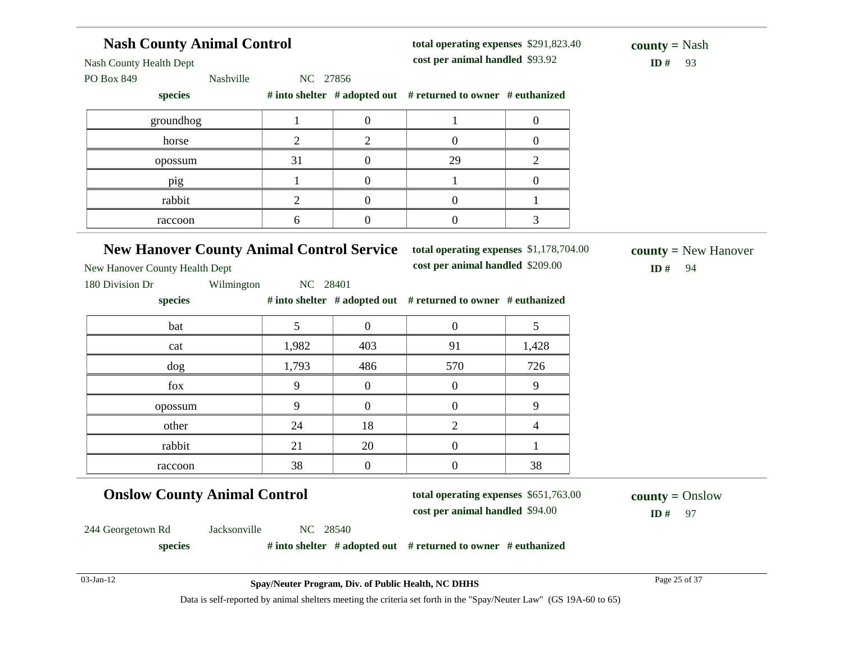| <b>Nash County Animal Control</b>                                                                                   |                                                     |                  | total operating expenses \$291,823.40                                       |                  | <b>county</b> = Nash                |
|---------------------------------------------------------------------------------------------------------------------|-----------------------------------------------------|------------------|-----------------------------------------------------------------------------|------------------|-------------------------------------|
| Nash County Health Dept                                                                                             |                                                     |                  | cost per animal handled \$93.92                                             |                  | ID#<br>93                           |
| PO Box 849<br>Nashville<br>species                                                                                  | NC 27856                                            |                  | # into shelter # adopted out # returned to owner # euthanized               |                  |                                     |
|                                                                                                                     |                                                     |                  |                                                                             |                  |                                     |
| groundhog                                                                                                           | $\mathbf{1}$                                        | $\boldsymbol{0}$ | 1                                                                           | $\overline{0}$   |                                     |
| horse                                                                                                               | $\overline{2}$                                      | $\overline{2}$   | $\boldsymbol{0}$                                                            | $\overline{0}$   |                                     |
| opossum                                                                                                             | 31                                                  | $\boldsymbol{0}$ | 29                                                                          | $\overline{2}$   |                                     |
| pig                                                                                                                 | $\mathbf{1}$                                        | $\boldsymbol{0}$ | $\mathbf{1}$                                                                | $\boldsymbol{0}$ |                                     |
| rabbit                                                                                                              | $\overline{2}$                                      | $\boldsymbol{0}$ | $\overline{0}$                                                              | 1                |                                     |
| raccoon                                                                                                             | 6                                                   | $\boldsymbol{0}$ | $\boldsymbol{0}$                                                            | 3                |                                     |
| <b>New Hanover County Animal Control Service</b><br>New Hanover County Health Dept<br>180 Division Dr<br>Wilmington | NC 28401                                            |                  | total operating expenses \$1,178,704.00<br>cost per animal handled \$209.00 |                  | $county = New Hanover$<br>ID#<br>94 |
| species                                                                                                             |                                                     |                  | # into shelter # adopted out # returned to owner # euthanized               |                  |                                     |
| bat                                                                                                                 | 5                                                   | $\overline{0}$   | $\boldsymbol{0}$                                                            |                  |                                     |
| cat                                                                                                                 | 1,982                                               | 403              | 91                                                                          | 5<br>1,428       |                                     |
| dog                                                                                                                 | 1,793                                               | 486              | 570                                                                         | 726              |                                     |
| fox                                                                                                                 | 9                                                   | $\overline{0}$   | $\overline{0}$                                                              | 9                |                                     |
| opossum                                                                                                             | 9                                                   | $\overline{0}$   | $\boldsymbol{0}$                                                            | 9                |                                     |
| other                                                                                                               | 24                                                  | 18               | $\overline{2}$                                                              | 4                |                                     |
| rabbit                                                                                                              | 21                                                  | 20               | $\boldsymbol{0}$                                                            |                  |                                     |
| raccoon                                                                                                             | 38                                                  | $\boldsymbol{0}$ | $\boldsymbol{0}$                                                            | 38               |                                     |
| <b>Onslow County Animal Control</b>                                                                                 |                                                     |                  | total operating expenses \$651,763.00<br>cost per animal handled \$94.00    |                  | $county = Onslow$<br>$ID#$ 97       |
| Jacksonville<br>244 Georgetown Rd                                                                                   | NC 28540                                            |                  |                                                                             |                  |                                     |
|                                                                                                                     |                                                     |                  | # into shelter # adopted out # returned to owner # euthanized               |                  |                                     |
| species                                                                                                             |                                                     |                  |                                                                             |                  |                                     |
| 03-Jan-12                                                                                                           | Spay/Neuter Program, Div. of Public Health, NC DHHS |                  |                                                                             |                  | Page 25 of 37                       |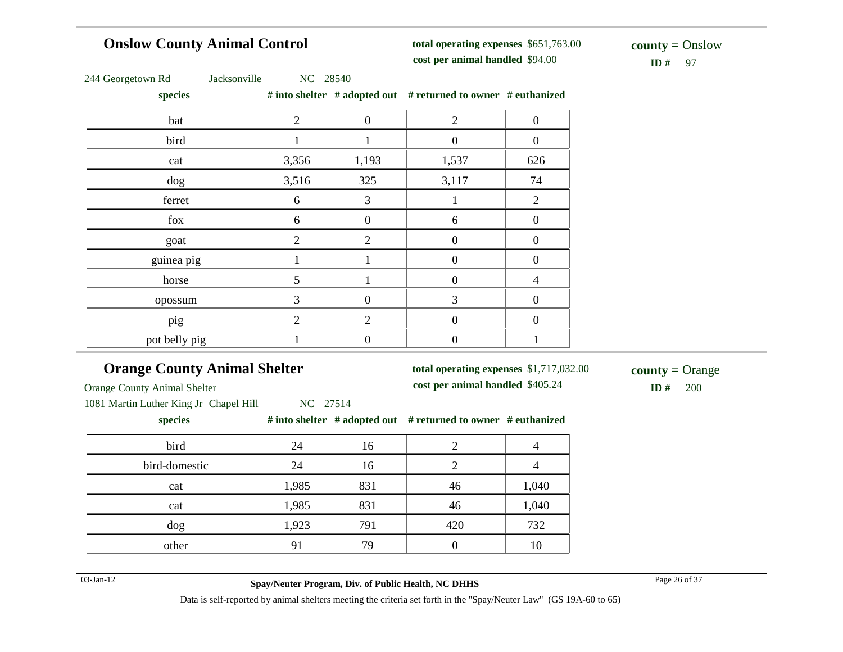# **Onslow County Animal Control**

**total operating expenses** \$651,763.00 **cost per animal handled**

 $ID#$  97 **county =** Onslow

|  | 244 Georgetown Rd |  |
|--|-------------------|--|
|--|-------------------|--|

Jacksonville NC 28540

**species # into shelter # adopted out # returned to owner # euthanized**

| $\overline{\phantom{a}}$ |                |                  |                |                  |
|--------------------------|----------------|------------------|----------------|------------------|
| bat                      | $\overline{2}$ | $\boldsymbol{0}$ | $\overline{2}$ | $\boldsymbol{0}$ |
| bird                     |                | 1                | $\overline{0}$ | $\boldsymbol{0}$ |
| cat                      | 3,356          | 1,193            | 1,537          | 626              |
| dog                      | 3,516          | 325              | 3,117          | 74               |
| ferret                   | 6              | $\mathfrak{Z}$   |                | $\overline{2}$   |
| fox                      | 6              | $\boldsymbol{0}$ | 6              | 0                |
| goat                     | $\overline{2}$ | $\overline{2}$   | $\overline{0}$ | 0                |
| guinea pig               |                |                  | $\overline{0}$ | $\overline{0}$   |
| horse                    | 5              |                  | $\overline{0}$ | $\overline{4}$   |
| opossum                  | 3              | $\boldsymbol{0}$ | 3              | 0                |
| pig                      | $\overline{2}$ | $\overline{2}$   | $\theta$       | 0                |
| pot belly pig            |                | 0                | 0              |                  |

# **Orange County Animal Shelter**

**total operating expenses** \$1,717,032.00

Orange County Animal Shelter

**cost per animal handled** \$405.24 **ID #** 200 **county =** Orange

1081 Martin Luther King Jr Chapel Hill NC 27514

**species # into shelter # adopted out # returned to owner # euthanized**

| bird          | 24    | 16  |     |       |
|---------------|-------|-----|-----|-------|
| bird-domestic | 24    | 16  |     |       |
| cat           | 1,985 | 831 | 46  | 1,040 |
| cat           | 1,985 | 831 | 46  | 1,040 |
| dog           | 1,923 | 791 | 420 | 732   |
| other         | 9     | 79  |     | 10    |

03-Jan-12 Page 26 of 37 **Spay/Neuter Program, Div. of Public Health, NC DHHS**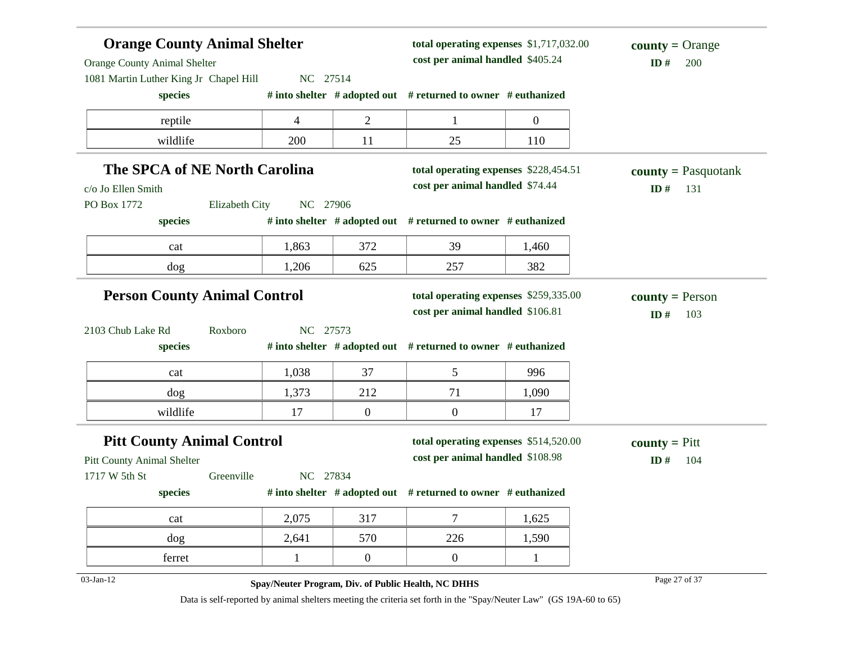| <b>Orange County Animal Shelter</b><br><b>Orange County Animal Shelter</b><br>1081 Martin Luther King Jr Chapel Hill | NC 27514       |          | total operating expenses \$1,717,032.00<br>cost per animal handled \$405.24 |                                                                           | $county = Orange$<br>ID#<br>200                                                                                    |                                          |
|----------------------------------------------------------------------------------------------------------------------|----------------|----------|-----------------------------------------------------------------------------|---------------------------------------------------------------------------|--------------------------------------------------------------------------------------------------------------------|------------------------------------------|
| species                                                                                                              |                |          |                                                                             | # into shelter # adopted out # returned to owner # euthanized             |                                                                                                                    |                                          |
| reptile                                                                                                              |                | 4        | $\overline{c}$                                                              | $\mathbf{1}$                                                              | $\boldsymbol{0}$                                                                                                   |                                          |
| wildlife                                                                                                             |                | 200      | 11                                                                          | 25                                                                        | 110                                                                                                                |                                          |
| The SPCA of NE North Carolina<br>c/o Jo Ellen Smith                                                                  |                |          |                                                                             | total operating expenses \$228,454.51<br>cost per animal handled \$74.44  |                                                                                                                    | <b>county</b> = Pasquotank<br>ID#<br>131 |
| PO Box 1772<br>species                                                                                               | Elizabeth City | NC 27906 |                                                                             | # into shelter # adopted out # returned to owner # euthanized             |                                                                                                                    |                                          |
| cat                                                                                                                  |                | 1,863    | 372                                                                         | 39                                                                        | 1,460                                                                                                              |                                          |
| dog                                                                                                                  |                | 1,206    | 625                                                                         | 257                                                                       | 382                                                                                                                |                                          |
| <b>Person County Animal Control</b>                                                                                  |                |          |                                                                             | total operating expenses \$259,335.00<br>cost per animal handled \$106.81 |                                                                                                                    | <b>county</b> = Person<br>ID#<br>103     |
| 2103 Chub Lake Rd<br>species                                                                                         | Roxboro        | NC 27573 |                                                                             | # into shelter # adopted out # returned to owner # euthanized             |                                                                                                                    |                                          |
| cat                                                                                                                  |                | 1,038    | 37                                                                          | 5                                                                         | 996                                                                                                                |                                          |
| dog                                                                                                                  |                | 1,373    | 212                                                                         | 71                                                                        | 1,090                                                                                                              |                                          |
| wildlife                                                                                                             |                | 17       | $\boldsymbol{0}$                                                            | $\boldsymbol{0}$                                                          | 17                                                                                                                 |                                          |
| <b>Pitt County Animal Control</b><br>Pitt County Animal Shelter                                                      |                |          |                                                                             | total operating expenses \$514,520.00<br>cost per animal handled \$108.98 |                                                                                                                    | <b>county</b> = $P$ itt<br>ID#<br>104    |
| 1717 W 5th St<br>species                                                                                             | Greenville     | NC 27834 |                                                                             | # into shelter $#$ adopted out $#$ returned to owner $#$ euthanized       |                                                                                                                    |                                          |
| cat                                                                                                                  |                | 2,075    | 317                                                                         | $\tau$                                                                    | 1,625                                                                                                              |                                          |
| dog                                                                                                                  |                | 2,641    | 570                                                                         | 226                                                                       | 1,590                                                                                                              |                                          |
| ferret                                                                                                               |                |          | $\overline{0}$                                                              | $\mathbf{0}$                                                              |                                                                                                                    |                                          |
| 03-Jan-12                                                                                                            |                |          |                                                                             | Spay/Neuter Program, Div. of Public Health, NC DHHS                       | Data is self-reported by animal shelters meeting the criteria set forth in the "Spay/Neuter Law" (GS 19A-60 to 65) | Page 27 of 37                            |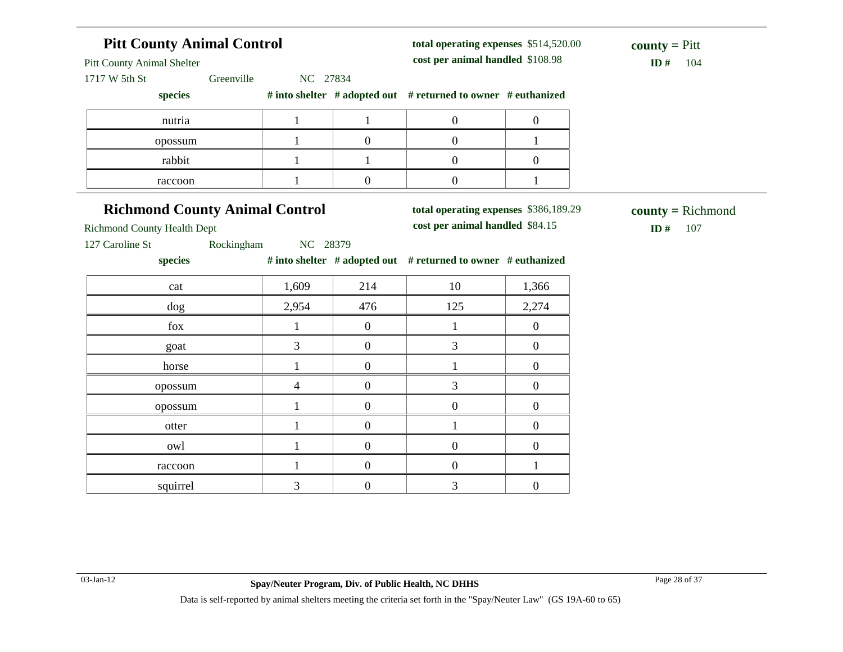| <b>Pitt County Animal Control</b>                                                                            |                |                  | total operating expenses \$514,520.00<br>cost per animal handled \$108.98 | <b>county</b> = $P$ itt |                                  |  |
|--------------------------------------------------------------------------------------------------------------|----------------|------------------|---------------------------------------------------------------------------|-------------------------|----------------------------------|--|
| <b>Pitt County Animal Shelter</b><br>1717 W 5th St<br>Greenville                                             | NC 27834       |                  |                                                                           |                         | ID $#$<br>104                    |  |
| species                                                                                                      |                |                  | # into shelter # adopted out # returned to owner # euthanized             |                         |                                  |  |
| nutria                                                                                                       | $\mathbf{1}$   | $\mathbf{1}$     | $\boldsymbol{0}$                                                          | $\boldsymbol{0}$        |                                  |  |
| opossum                                                                                                      | $\mathbf{1}$   | $\boldsymbol{0}$ | $\boldsymbol{0}$                                                          | $\mathbf{1}$            |                                  |  |
| rabbit                                                                                                       | $\mathbf{1}$   | $\mathbf{1}$     | $\boldsymbol{0}$                                                          | $\boldsymbol{0}$        |                                  |  |
| raccoon                                                                                                      | $\mathbf{1}$   | $\boldsymbol{0}$ | $\boldsymbol{0}$                                                          | $\mathbf{1}$            |                                  |  |
| <b>Richmond County Animal Control</b><br><b>Richmond County Health Dept</b><br>Rockingham<br>127 Caroline St | NC 28379       |                  | total operating expenses \$386,189.29<br>cost per animal handled \$84.15  |                         | $county = Richard$<br>ID#<br>107 |  |
| species                                                                                                      |                |                  | # into shelter # adopted out # returned to owner # euthanized             |                         |                                  |  |
| cat                                                                                                          | 1,609          | 214              | 10                                                                        | 1,366                   |                                  |  |
| dog                                                                                                          | 2,954          | 476              | 125                                                                       | 2,274                   |                                  |  |
| fox                                                                                                          | $\mathbf{1}$   | $\overline{0}$   | $\mathbf{1}$                                                              | $\boldsymbol{0}$        |                                  |  |
| goat                                                                                                         | 3              | $\boldsymbol{0}$ | 3                                                                         | $\boldsymbol{0}$        |                                  |  |
| horse                                                                                                        | $\mathbf{1}$   | $\boldsymbol{0}$ | $\mathbf{1}$                                                              | $\boldsymbol{0}$        |                                  |  |
|                                                                                                              |                | $\boldsymbol{0}$ | 3                                                                         | $\overline{0}$          |                                  |  |
| opossum                                                                                                      | $\overline{4}$ |                  |                                                                           |                         |                                  |  |
| opossum                                                                                                      | $\mathbf{1}$   | $\boldsymbol{0}$ | $\boldsymbol{0}$                                                          | $\boldsymbol{0}$        |                                  |  |
| otter                                                                                                        | $\mathbf{1}$   | $\overline{0}$   | $\mathbf{1}$                                                              | $\boldsymbol{0}$        |                                  |  |
| owl                                                                                                          | $\mathbf{1}$   | $\boldsymbol{0}$ | $\boldsymbol{0}$                                                          | $\boldsymbol{0}$        |                                  |  |
| raccoon                                                                                                      | $\mathbf{1}$   | $\boldsymbol{0}$ | $\boldsymbol{0}$                                                          | $\mathbf{1}$            |                                  |  |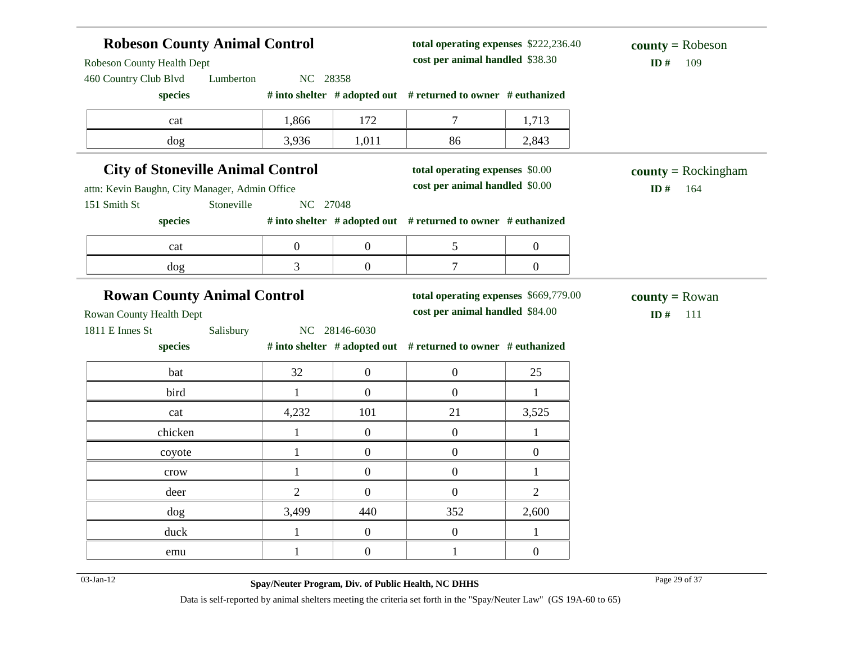| <b>Robeson County Animal Control</b><br>Robeson County Health Dept<br>460 Country Club Blvd | NC 28358   |                | total operating expenses \$222,236.40<br>cost per animal handled \$38.30 |                                                                          | $county = Robeson$<br>ID#<br>109 |                                          |
|---------------------------------------------------------------------------------------------|------------|----------------|--------------------------------------------------------------------------|--------------------------------------------------------------------------|----------------------------------|------------------------------------------|
| species                                                                                     | Lumberton  |                |                                                                          | # into shelter # adopted out # returned to owner # euthanized            |                                  |                                          |
| cat                                                                                         |            | 1,866          | 172                                                                      | 7                                                                        | 1,713                            |                                          |
| dog                                                                                         |            | 3,936          | 1,011                                                                    | 86                                                                       | 2,843                            |                                          |
| <b>City of Stoneville Animal Control</b><br>attn: Kevin Baughn, City Manager, Admin Office  |            |                |                                                                          | total operating expenses \$0.00<br>cost per animal handled \$0.00        |                                  | <b>county</b> = Rockingham<br>ID#<br>164 |
| 151 Smith St                                                                                | Stoneville | NC 27048       |                                                                          |                                                                          |                                  |                                          |
| species                                                                                     |            |                |                                                                          | # into shelter # adopted out # returned to owner # euthanized            |                                  |                                          |
| cat                                                                                         |            | $\mathbf{0}$   | $\boldsymbol{0}$                                                         | 5                                                                        | $\boldsymbol{0}$                 |                                          |
| dog                                                                                         |            | 3              | $\overline{0}$                                                           | $\tau$                                                                   | $\boldsymbol{0}$                 |                                          |
| <b>Rowan County Animal Control</b><br>Rowan County Health Dept                              |            |                |                                                                          | total operating expenses \$669,779.00<br>cost per animal handled \$84.00 |                                  | <b>county</b> = Rowan<br>ID#<br>111      |
| 1811 E Innes St                                                                             | Salisbury  |                | NC 28146-6030                                                            |                                                                          |                                  |                                          |
| species                                                                                     |            |                |                                                                          | # into shelter # adopted out # returned to owner # euthanized            |                                  |                                          |
| bat                                                                                         |            | 32             | $\boldsymbol{0}$                                                         | $\boldsymbol{0}$                                                         | 25                               |                                          |
| bird                                                                                        |            | $\mathbf{1}$   | $\overline{0}$                                                           | $\boldsymbol{0}$                                                         | $\mathbf{1}$                     |                                          |
| cat                                                                                         |            | 4,232          | 101                                                                      | 21                                                                       | 3,525                            |                                          |
| chicken                                                                                     |            | $\mathbf{1}$   | $\boldsymbol{0}$                                                         | $\boldsymbol{0}$                                                         | $\mathbf{1}$                     |                                          |
| coyote                                                                                      |            | $\mathbf{1}$   | $\boldsymbol{0}$                                                         | $\boldsymbol{0}$                                                         | $\boldsymbol{0}$                 |                                          |
| crow                                                                                        |            | $\mathbf{1}$   | $\boldsymbol{0}$                                                         | $\boldsymbol{0}$                                                         | $\mathbf{1}$                     |                                          |
| deer                                                                                        |            | $\overline{2}$ | $\overline{0}$                                                           | $\boldsymbol{0}$                                                         | $\overline{2}$                   |                                          |
| dog                                                                                         |            | 3,499          | 440                                                                      | 352                                                                      | 2,600                            |                                          |
| duck                                                                                        |            | $\mathbf{1}$   | $\mathbf{0}$                                                             | $\boldsymbol{0}$                                                         | 1                                |                                          |
| emu                                                                                         |            | $\mathbf{1}$   | $\overline{0}$                                                           | $\mathbf{1}$                                                             | $\overline{0}$                   |                                          |

03-Jan-12 Page 29 of 37 **Spay/Neuter Program, Div. of Public Health, NC DHHS**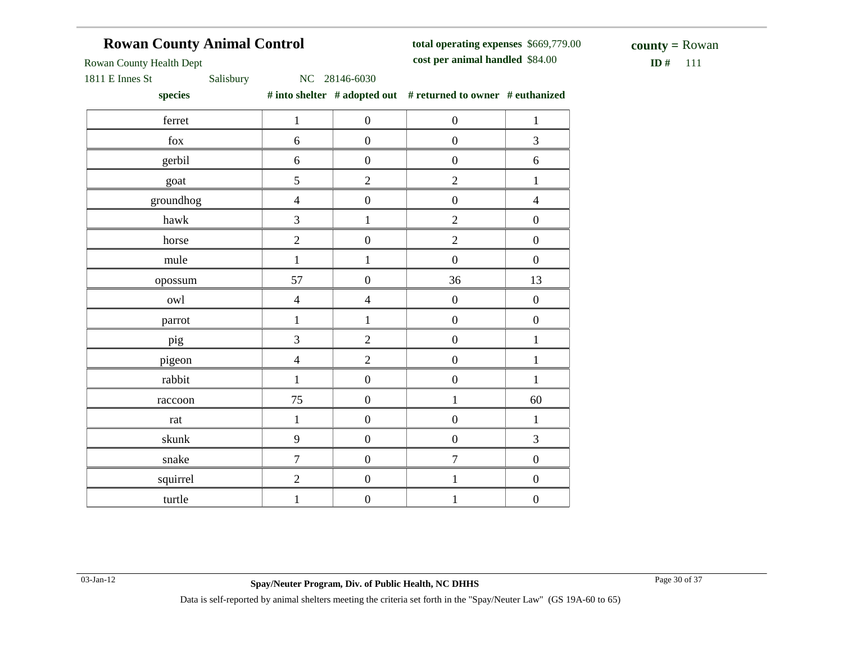# **Rowan County Animal Control**

**total operating expenses** \$669,779.00 **cost per animal handled**

 $$ **county =** Rowan

Rowan County Health Dept

1811 E Innes St Salisbury NC 28146-6030

**species # into shelter # adopted out # returned to owner # euthanized**

| species                   |                  |                  | $\theta$ may share $\theta$ and $\theta$ and $\theta$ and $\theta$ and $\theta$ and $\theta$ and $\theta$ and $\theta$ and $\theta$ and $\theta$ and $\theta$ and $\theta$ and $\theta$ and $\theta$ and $\theta$ and $\theta$ and $\theta$ and $\theta$ and $\theta$ and $\theta$ and $\theta$ and $\theta$ and $\theta$ and |                  |
|---------------------------|------------------|------------------|-------------------------------------------------------------------------------------------------------------------------------------------------------------------------------------------------------------------------------------------------------------------------------------------------------------------------------|------------------|
| ferret                    | $1\,$            | $\boldsymbol{0}$ | $\boldsymbol{0}$                                                                                                                                                                                                                                                                                                              | $\mathbf{1}$     |
| ${\rm fox}$               | $\sqrt{6}$       | $\boldsymbol{0}$ | $\boldsymbol{0}$                                                                                                                                                                                                                                                                                                              | 3                |
| gerbil                    | 6                | $\boldsymbol{0}$ | $\boldsymbol{0}$                                                                                                                                                                                                                                                                                                              | $\sqrt{6}$       |
| goat                      | 5                | $\overline{2}$   | $\overline{2}$                                                                                                                                                                                                                                                                                                                | $\,1\,$          |
| groundhog                 | $\overline{4}$   | $\boldsymbol{0}$ | $\overline{0}$                                                                                                                                                                                                                                                                                                                | $\overline{4}$   |
| hawk                      | 3                | $\,1$            | $\overline{2}$                                                                                                                                                                                                                                                                                                                | $\boldsymbol{0}$ |
| horse                     | $\sqrt{2}$       | $\boldsymbol{0}$ | $\overline{2}$                                                                                                                                                                                                                                                                                                                | $\boldsymbol{0}$ |
| mule                      | $\,1\,$          | $\,1$            | $\boldsymbol{0}$                                                                                                                                                                                                                                                                                                              | $\boldsymbol{0}$ |
| opossum                   | 57               | $\boldsymbol{0}$ | 36                                                                                                                                                                                                                                                                                                                            | 13               |
| owl                       | $\overline{4}$   | $\overline{4}$   | $\boldsymbol{0}$                                                                                                                                                                                                                                                                                                              | $\boldsymbol{0}$ |
| parrot                    | $\,1\,$          | $\mathbf{1}$     | $\boldsymbol{0}$                                                                                                                                                                                                                                                                                                              | $\boldsymbol{0}$ |
| pig                       | $\mathfrak{Z}$   | $\overline{2}$   | $\boldsymbol{0}$                                                                                                                                                                                                                                                                                                              | $\mathbf 1$      |
| pigeon                    | $\overline{4}$   | $\overline{2}$   | $\boldsymbol{0}$                                                                                                                                                                                                                                                                                                              | $\,1$            |
| rabbit                    | $\mathbf{1}$     | $\boldsymbol{0}$ | $\boldsymbol{0}$                                                                                                                                                                                                                                                                                                              | $\mathbf{1}$     |
| raccoon                   | 75               | $\boldsymbol{0}$ | $\mathbf{1}$                                                                                                                                                                                                                                                                                                                  | 60               |
| $\ensuremath{\text{rat}}$ | $\,1\,$          | $\boldsymbol{0}$ | $\boldsymbol{0}$                                                                                                                                                                                                                                                                                                              | $\,1\,$          |
| skunk                     | $\mathbf{9}$     | $\boldsymbol{0}$ | $\boldsymbol{0}$                                                                                                                                                                                                                                                                                                              | $\mathfrak{Z}$   |
| snake                     | $\boldsymbol{7}$ | $\boldsymbol{0}$ | $\tau$                                                                                                                                                                                                                                                                                                                        | $\boldsymbol{0}$ |
| squirrel                  | $\overline{2}$   | $\boldsymbol{0}$ | $\mathbf{1}$                                                                                                                                                                                                                                                                                                                  | $\boldsymbol{0}$ |
| turtle                    | $\mathbf{1}$     | $\boldsymbol{0}$ | $\mathbf{1}$                                                                                                                                                                                                                                                                                                                  | $\boldsymbol{0}$ |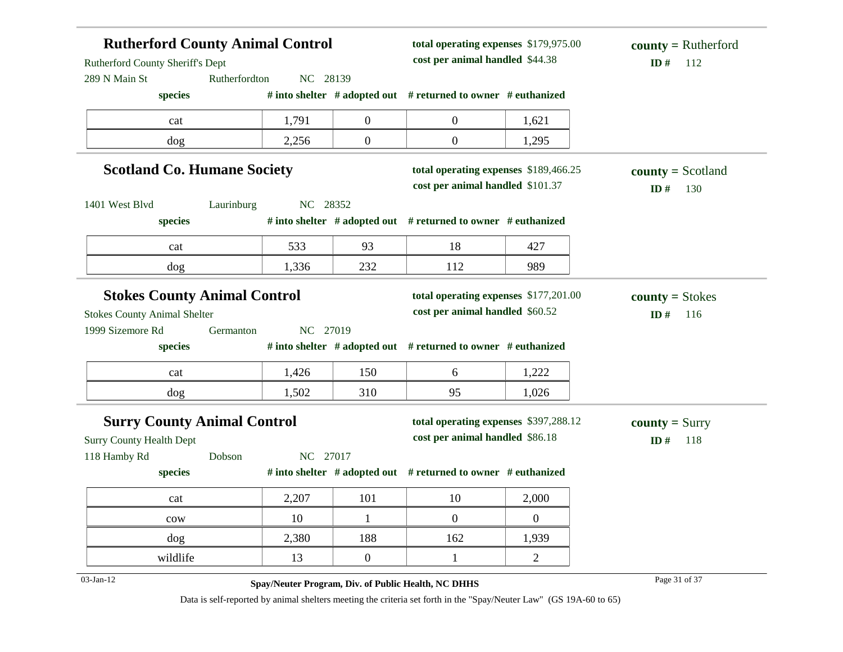| <b>Rutherford County Animal Control</b><br>Rutherford County Sheriff's Dept |               |          | total operating expenses \$179,975.00<br>cost per animal handled \$44.38 | $county = Rutherford$<br>ID#<br>112                                       |                  |                                      |
|-----------------------------------------------------------------------------|---------------|----------|--------------------------------------------------------------------------|---------------------------------------------------------------------------|------------------|--------------------------------------|
| 289 N Main St                                                               | Rutherfordton | NC 28139 |                                                                          |                                                                           |                  |                                      |
| species                                                                     |               |          |                                                                          | # into shelter $#$ adopted out $#$ returned to owner $#$ euthanized       |                  |                                      |
| cat                                                                         |               | 1,791    | $\overline{0}$                                                           | $\overline{0}$                                                            | 1,621            |                                      |
| dog                                                                         |               | 2,256    | $\boldsymbol{0}$                                                         | $\overline{0}$                                                            | 1,295            |                                      |
| <b>Scotland Co. Humane Society</b>                                          |               |          |                                                                          | total operating expenses \$189,466.25<br>cost per animal handled \$101.37 |                  | $county = Scotland$<br>ID $#$<br>130 |
| 1401 West Blvd                                                              | Laurinburg    | NC 28352 |                                                                          |                                                                           |                  |                                      |
| species                                                                     |               |          |                                                                          | # into shelter # adopted out # returned to owner # euthanized             |                  |                                      |
| cat                                                                         |               | 533      | 93                                                                       | 18                                                                        | 427              |                                      |
| dog                                                                         |               | 1,336    | 232                                                                      | 112                                                                       | 989              |                                      |
| <b>Stokes County Animal Control</b>                                         |               |          |                                                                          | total operating expenses \$177,201.00                                     |                  | $county = Stokes$                    |
| <b>Stokes County Animal Shelter</b>                                         |               |          |                                                                          | cost per animal handled \$60.52                                           |                  | ID#<br>116                           |
| 1999 Sizemore Rd                                                            | Germanton     | NC 27019 |                                                                          |                                                                           |                  |                                      |
| species                                                                     |               |          |                                                                          | # into shelter # adopted out # returned to owner # euthanized             |                  |                                      |
| cat                                                                         |               | 1,426    | 150                                                                      | 6                                                                         | 1,222            |                                      |
| dog                                                                         |               | 1,502    | 310                                                                      | 95                                                                        | 1,026            |                                      |
| <b>Surry County Animal Control</b>                                          |               |          |                                                                          | total operating expenses \$397,288.12                                     |                  | <b>county</b> = Surry                |
| <b>Surry County Health Dept</b>                                             |               |          |                                                                          | cost per animal handled \$86.18                                           |                  | ID#<br>118                           |
| 118 Hamby Rd                                                                | Dobson        | NC 27017 |                                                                          |                                                                           |                  |                                      |
| species                                                                     |               |          |                                                                          | # into shelter # adopted out # returned to owner # euthanized             |                  |                                      |
| cat                                                                         |               | 2,207    | 101                                                                      | 10                                                                        | 2,000            |                                      |
| $_{\text{cow}}$                                                             |               | 10       | $\mathbf{1}$                                                             | $\overline{0}$                                                            | $\boldsymbol{0}$ |                                      |
| dog                                                                         |               | 2,380    | 188                                                                      | 162                                                                       | 1,939            |                                      |
| wildlife                                                                    |               | 13       | $\overline{0}$                                                           | $\mathbf{1}$                                                              | $\overline{2}$   |                                      |
| $03$ -Jan-12                                                                |               |          |                                                                          | Spay/Neuter Program, Div. of Public Health, NC DHHS                       |                  | Page 31 of 37                        |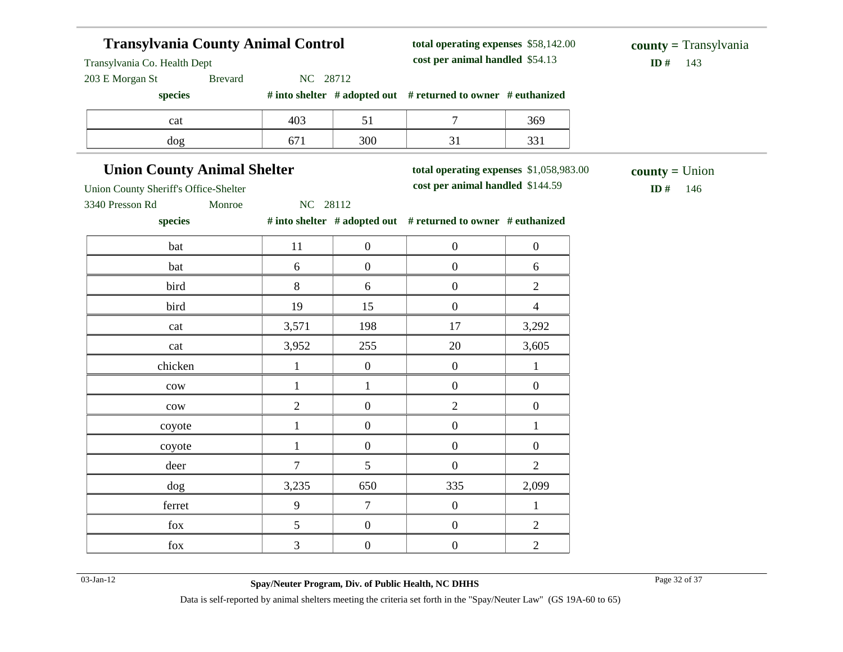# **Transylvania County Animal Control**

**total operating expenses** \$58,142.00 **cost per animal handled**

Transylvania Co. Health Dept

203 E Morgan St Brevard NC 28712

**species # into shelter # adopted out # returned to owner # euthanized**

| cat | $\sim$<br>40S    |     | śб |
|-----|------------------|-----|----|
|     | - <del>- -</del> | 300 | ົ  |

### **Union County Animal Shelter**

**total operating expenses** \$1,058,983.00

**cost per animal handled** \$144.59 **ID #** 146 **county =** Union

3340 Presson Rd Monroe NC 28112

 $\sqrt{ }$ 

Union County Sheriff's Office-Shelter

**species # into shelter # adopted out # returned to owner # euthanized** Τ Τ

| bat             | 11             | $\boldsymbol{0}$ | $\boldsymbol{0}$ | $\boldsymbol{0}$ |
|-----------------|----------------|------------------|------------------|------------------|
| bat             | 6              | $\boldsymbol{0}$ | $\boldsymbol{0}$ | $6\,$            |
| bird            | $8\,$          | 6                | $\boldsymbol{0}$ | $\sqrt{2}$       |
| bird            | 19             | 15               | $\boldsymbol{0}$ | $\overline{4}$   |
| cat             | 3,571          | 198              | 17               | 3,292            |
| cat             | 3,952          | 255              | $20\,$           | 3,605            |
| chicken         | 1              | $\boldsymbol{0}$ | $\boldsymbol{0}$ | 1                |
| ${\rm\bf conv}$ | 1              | 1                | $\boldsymbol{0}$ | $\boldsymbol{0}$ |
| ${\rm\bf conv}$ | $\overline{2}$ | $\boldsymbol{0}$ | $\overline{2}$   | $\boldsymbol{0}$ |
| coyote          | 1              | $\boldsymbol{0}$ | $\boldsymbol{0}$ | 1                |
| coyote          | 1              | $\boldsymbol{0}$ | $\boldsymbol{0}$ | $\boldsymbol{0}$ |
| deer            | $\overline{7}$ | $\mathfrak s$    | $\boldsymbol{0}$ | $\overline{2}$   |
| dog             | 3,235          | 650              | 335              | 2,099            |
| ferret          | 9              | $\tau$           | $\boldsymbol{0}$ |                  |
| ${\rm fox}$     | 5              | $\boldsymbol{0}$ | $\boldsymbol{0}$ | $\overline{2}$   |
| ${\rm fox}$     | $\mathfrak{Z}$ | $\boldsymbol{0}$ | $\boldsymbol{0}$ | $\sqrt{2}$       |

03-Jan-12 Page 32 of 37 **Spay/Neuter Program, Div. of Public Health, NC DHHS**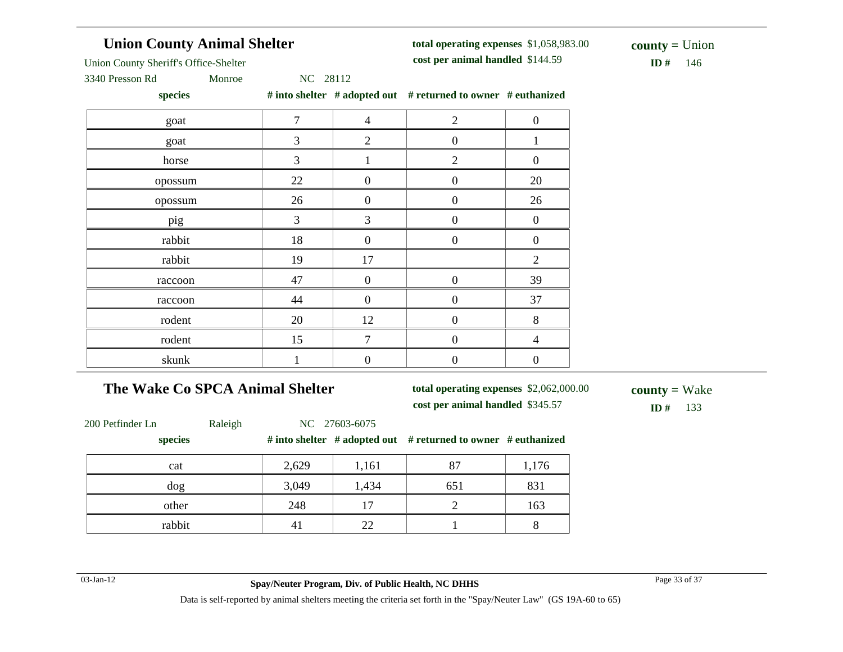# **Union County Animal Shelter**

**total operating expenses** \$1,058,983.00 **cost per animal handled**

 $ID# 146$ **county =** Union

Union County Sheriff's Office-Shelter

3340 Presson Rd Monroe NC 28112

**species # into shelter # adopted out # returned to owner # euthanized**

| $\overline{7}$ | $\overline{4}$   | $\mathfrak{2}$   | $\boldsymbol{0}$ |
|----------------|------------------|------------------|------------------|
| 3              | 2                | $\boldsymbol{0}$ |                  |
| 3              |                  | $\overline{2}$   | $\boldsymbol{0}$ |
| 22             | $\boldsymbol{0}$ | $\boldsymbol{0}$ | $20\,$           |
| 26             | $\boldsymbol{0}$ | $\overline{0}$   | 26               |
| 3              | 3                | $\boldsymbol{0}$ | $\boldsymbol{0}$ |
| 18             | $\overline{0}$   | $\boldsymbol{0}$ | $\boldsymbol{0}$ |
| 19             | 17               |                  | $\mathfrak{2}$   |
| 47             | $\boldsymbol{0}$ | $\boldsymbol{0}$ | 39               |
| 44             | $\boldsymbol{0}$ | $\boldsymbol{0}$ | 37               |
| 20             | 12               | $\boldsymbol{0}$ | $\, 8$           |
| 15             | 7                | $\overline{0}$   | $\overline{4}$   |
|                | $\boldsymbol{0}$ | $\mathbf{0}$     | $\boldsymbol{0}$ |
|                |                  |                  |                  |

# **The Wake Co SPCA Animal Shelter**

**total operating expenses** \$2,062,000.00

**cost per animal handled**

**ID #** 133 **county =** Wake

| 200 Petfinder Ln | Raleigh |       | NC 27603-6075 |                                                                        |       |
|------------------|---------|-------|---------------|------------------------------------------------------------------------|-------|
| species          |         |       |               | # into shelter $\#$ adopted out $\#$ returned to owner $\#$ euthanized |       |
| cat              |         | 2,629 | 1,161         | 87                                                                     | 1,176 |
| dog              |         | 3,049 | 1,434         | 651                                                                    | 831   |
| other            |         | 248   | 17            |                                                                        | 163   |
| rabbit           |         | 41    | 22.           |                                                                        |       |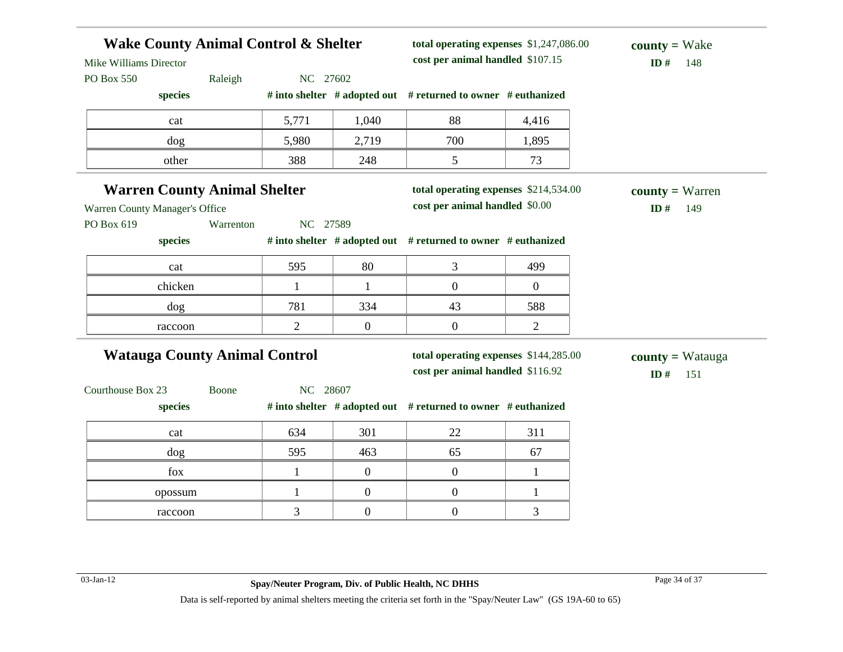| <b>Wake County Animal Control &amp; Shelter</b><br>Mike Williams Director |           |                |                  | total operating expenses \$1,247,086.00<br>cost per animal handled \$107.15 |                | $county = Wake$<br>ID#<br>148         |
|---------------------------------------------------------------------------|-----------|----------------|------------------|-----------------------------------------------------------------------------|----------------|---------------------------------------|
| PO Box 550                                                                | Raleigh   | NC 27602       |                  |                                                                             |                |                                       |
| species                                                                   |           |                |                  | # into shelter # adopted out # returned to owner # euthanized               |                |                                       |
| cat                                                                       |           | 5,771          | 1,040            | 88                                                                          | 4,416          |                                       |
| dog                                                                       |           | 5,980          | 2,719            | 700                                                                         | 1,895          |                                       |
| other                                                                     |           | 388            | 248              | 5                                                                           | 73             |                                       |
| <b>Warren County Animal Shelter</b>                                       |           |                |                  | total operating expenses \$214,534.00                                       |                | $county = Warren$                     |
| Warren County Manager's Office                                            |           |                |                  | cost per animal handled \$0.00                                              |                | ID#<br>149                            |
| PO Box 619                                                                | Warrenton | NC 27589       |                  |                                                                             |                |                                       |
| species                                                                   |           |                |                  | # into shelter # adopted out # returned to owner # euthanized               |                |                                       |
| cat                                                                       |           | 595            | 80               | 3                                                                           | 499            |                                       |
| chicken                                                                   |           | $\mathbf{1}$   | 1                | $\overline{0}$                                                              | $\overline{0}$ |                                       |
| dog                                                                       |           | 781            | 334              | 43                                                                          | 588            |                                       |
| raccoon                                                                   |           | $\overline{2}$ | $\boldsymbol{0}$ | $\mathbf{0}$                                                                | 2              |                                       |
| <b>Watauga County Animal Control</b>                                      |           |                |                  | total operating expenses \$144,285.00<br>cost per animal handled \$116.92   |                | <b>county</b> = Watauga<br>ID#<br>151 |
| Courthouse Box 23                                                         | Boone     | NC 28607       |                  |                                                                             |                |                                       |
| species                                                                   |           |                |                  | # into shelter # adopted out # returned to owner # euthanized               |                |                                       |
| cat                                                                       |           | 634            | 301              | 22                                                                          | 311            |                                       |
| dog                                                                       |           | 595            | 463              | 65                                                                          | 67             |                                       |
| fox                                                                       |           | $\mathbf{1}$   | $\mathbf{0}$     | $\overline{0}$                                                              | 1              |                                       |
| opossum                                                                   |           | $\mathbf{1}$   | $\boldsymbol{0}$ | $\overline{0}$                                                              | 1              |                                       |
|                                                                           |           | $\overline{3}$ | $\boldsymbol{0}$ | $\overline{0}$                                                              | 3              |                                       |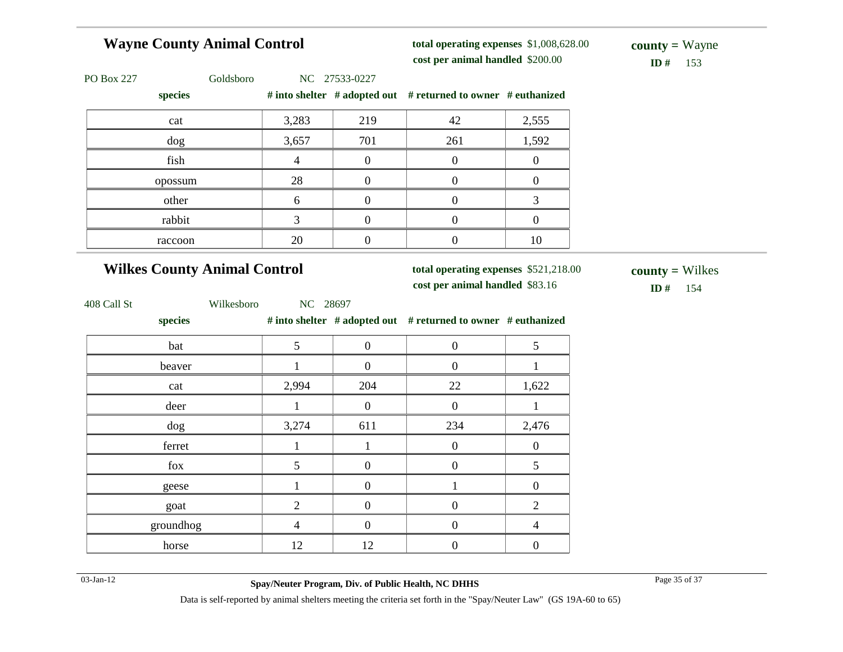| <b>Wayne County Animal Control</b>   |                |                  | total operating expenses \$1,008,628.00<br>cost per animal handled \$200.00 |                  | $county = Wayne$<br>ID#<br>153       |
|--------------------------------------|----------------|------------------|-----------------------------------------------------------------------------|------------------|--------------------------------------|
| PO Box 227<br>Goldsboro<br>species   |                | NC 27533-0227    | # into shelter # adopted out # returned to owner # euthanized               |                  |                                      |
| cat                                  | 3,283          | 219              | 42                                                                          | 2,555            |                                      |
| dog                                  | 3,657          | 701              | 261                                                                         | 1,592            |                                      |
| fish                                 | $\overline{4}$ | $\overline{0}$   | $\boldsymbol{0}$                                                            | $\boldsymbol{0}$ |                                      |
| opossum                              | 28             | $\boldsymbol{0}$ | $\boldsymbol{0}$                                                            | $\boldsymbol{0}$ |                                      |
| other                                | 6              | $\boldsymbol{0}$ | $\boldsymbol{0}$                                                            | 3                |                                      |
| rabbit                               | 3              | $\overline{0}$   | $\boldsymbol{0}$                                                            | $\boldsymbol{0}$ |                                      |
| raccoon                              | 20             | $\boldsymbol{0}$ | $\boldsymbol{0}$                                                            | $10\,$           |                                      |
| <b>Wilkes County Animal Control</b>  |                |                  | total operating expenses \$521,218.00<br>cost per animal handled \$83.16    |                  | $county = Wilkes$<br><b>ID</b> # 154 |
| Wilkesboro<br>408 Call St<br>species | NC 28697       |                  | # into shelter # adopted out # returned to owner # euthanized               |                  |                                      |
| bat                                  | 5              | $\boldsymbol{0}$ | $\boldsymbol{0}$                                                            | 5                |                                      |
| beaver                               | $\mathbf{1}$   | $\overline{0}$   | $\boldsymbol{0}$                                                            | $\mathbf{1}$     |                                      |
| cat                                  | 2,994          | 204              | 22                                                                          | 1,622            |                                      |
| deer                                 | $\mathbf{1}$   | $\overline{0}$   | $\boldsymbol{0}$                                                            | $\mathbf{1}$     |                                      |
| dog                                  | 3,274          | 611              | 234                                                                         | 2,476            |                                      |
| ferret                               | $\mathbf{1}$   | $\mathbf{1}$     | $\boldsymbol{0}$                                                            | $\boldsymbol{0}$ |                                      |
| fox                                  | 5              | $\boldsymbol{0}$ | $\boldsymbol{0}$                                                            | 5                |                                      |
| geese                                | $\mathbf{1}$   | $\boldsymbol{0}$ | $\mathbf{1}$                                                                | $\boldsymbol{0}$ |                                      |
| goat                                 | $\overline{c}$ | $\boldsymbol{0}$ | $\boldsymbol{0}$                                                            | $\overline{2}$   |                                      |
| groundhog                            | $\overline{4}$ | $\overline{0}$   | $\boldsymbol{0}$                                                            |                  |                                      |
|                                      |                |                  |                                                                             | $\overline{4}$   |                                      |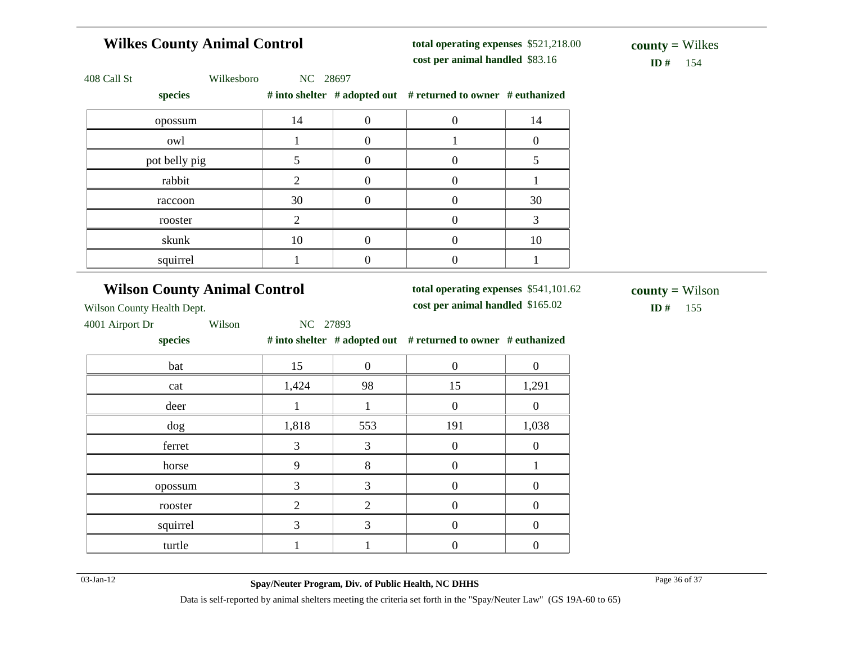#### **Wilkes County Animal Control** 408 Call St Wilkesboro NC 28697  $\mathbf{S}$  **helter** # adopted out # returned to owner # euthanized **total operating expenses** \$521,218.00 **cost per animal handled**

skunk 10 0 0 10 squirrel  $1 \t 1 \t 0 \t 0 \t 1$ 

 $$ **county =** Wilkes

| species       |    | # into shelter # adopted out # returned to owner # eutha |    |
|---------------|----|----------------------------------------------------------|----|
| opossum       | 14 |                                                          | 14 |
| owl           |    |                                                          |    |
| pot belly pig |    |                                                          |    |
| rabbit        |    |                                                          |    |
| raccoon       | 30 |                                                          | 30 |
| rooster       |    |                                                          |    |
|               |    |                                                          |    |

#### **Wilson County Animal Control**

**total operating expenses** \$541,101.62

**cost per animal handled** \$165.02 **ID #** 155 **county =** Wilson

Wilson County Health Dept.

4001 Airport Dr Wilson NC 27893

**species # into shelter # adopted out # returned to owner # euthanized**

| bat      | 15          | $\Omega$ |                  |                |
|----------|-------------|----------|------------------|----------------|
| cat      | 1,424       | 98       | 15               | 1,291          |
| deer     |             |          |                  | $\Omega$       |
| dog      | 1,818       | 553      | 191              | 1,038          |
| ferret   | 3           | 3        | $\left( \right)$ | $\overline{0}$ |
| horse    | $\mathbf Q$ | 8        |                  |                |
| opossum  |             |          |                  |                |
| rooster  |             | 2        |                  |                |
| squirrel |             |          |                  |                |
| turtle   |             |          |                  |                |

03-Jan-12 Page 36 of 37 **Spay/Neuter Program, Div. of Public Health, NC DHHS** Data is self-reported by animal shelters meeting the criteria set forth in the "Spay/Neuter Law" (GS 19A-60 to 65)